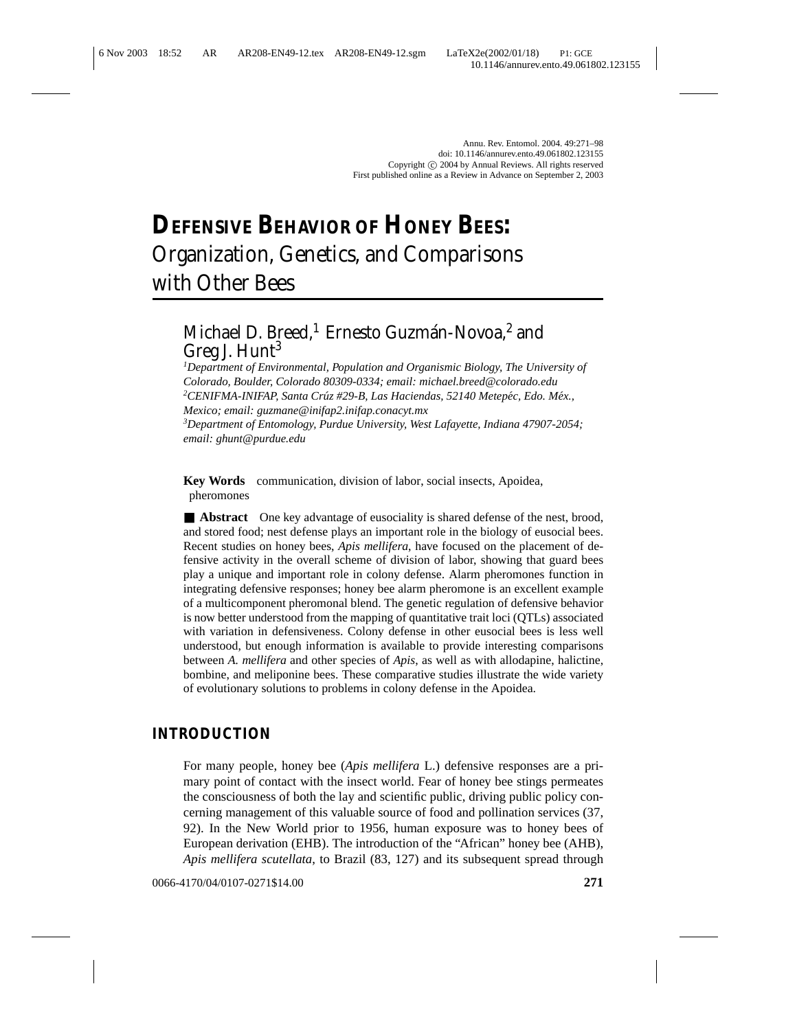# **DEFENSIVE BEHAVIOR OF HONEY BEES:** Organization, Genetics, and Comparisons with Other Bees

# Michael D. Breed,<sup>1</sup> Ernesto Guzmán-Novoa,<sup>2</sup> and Greg J.  $Hunt<sup>3</sup>$

*1 Department of Environmental, Population and Organismic Biology, The University of Colorado, Boulder, Colorado 80309-0334; email: michael.breed@colorado.edu* <sup>2</sup>CENIFMA-INIFAP, Santa Crúz #29-B, Las Haciendas, 52140 Metepéc, Edo. Méx., *Mexico; email: guzmane@inifap2.inifap.conacyt.mx*

*3 Department of Entomology, Purdue University, West Lafayette, Indiana 47907-2054; email: ghunt@purdue.edu*

**Key Words** communication, division of labor, social insects, Apoidea, pheromones

■ **Abstract** One key advantage of eusociality is shared defense of the nest, brood, and stored food; nest defense plays an important role in the biology of eusocial bees. Recent studies on honey bees, *Apis mellifera*, have focused on the placement of defensive activity in the overall scheme of division of labor, showing that guard bees play a unique and important role in colony defense. Alarm pheromones function in integrating defensive responses; honey bee alarm pheromone is an excellent example of a multicomponent pheromonal blend. The genetic regulation of defensive behavior is now better understood from the mapping of quantitative trait loci (QTLs) associated with variation in defensiveness. Colony defense in other eusocial bees is less well understood, but enough information is available to provide interesting comparisons between *A. mellifera* and other species of *Apis*, as well as with allodapine, halictine, bombine, and meliponine bees. These comparative studies illustrate the wide variety of evolutionary solutions to problems in colony defense in the Apoidea.

# **INTRODUCTION**

For many people, honey bee (*Apis mellifera* L.) defensive responses are a primary point of contact with the insect world. Fear of honey bee stings permeates the consciousness of both the lay and scientific public, driving public policy concerning management of this valuable source of food and pollination services (37, 92). In the New World prior to 1956, human exposure was to honey bees of European derivation (EHB). The introduction of the "African" honey bee (AHB), *Apis mellifera scutellata*, to Brazil (83, 127) and its subsequent spread through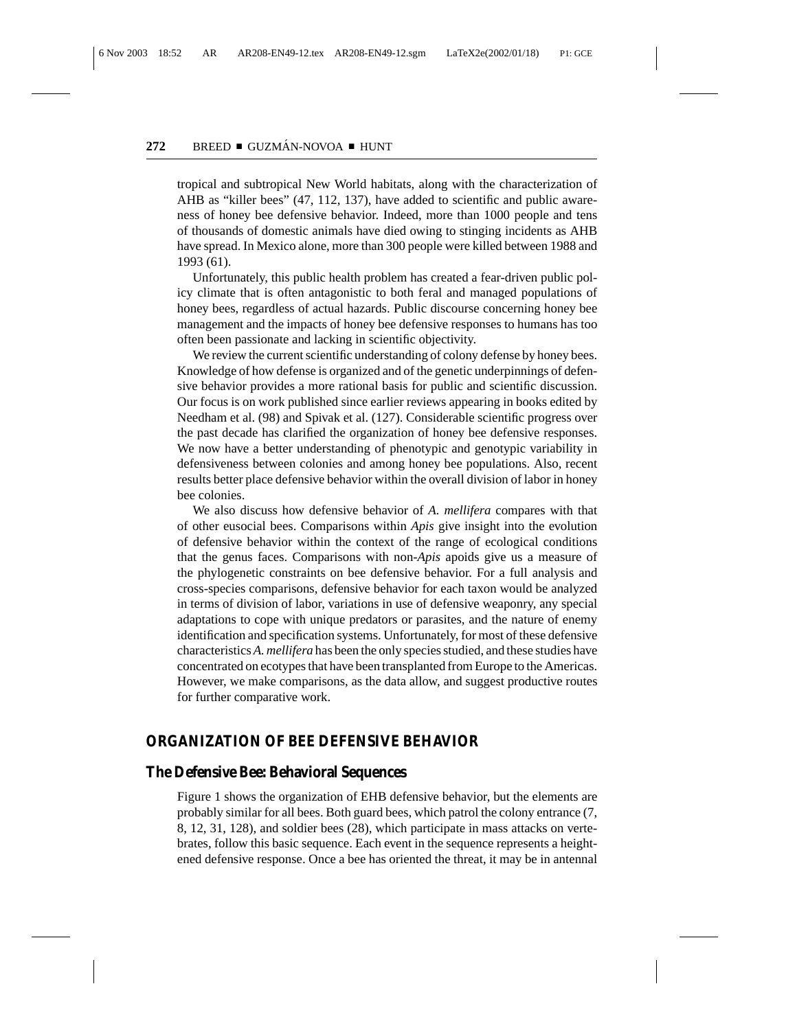tropical and subtropical New World habitats, along with the characterization of AHB as "killer bees" (47, 112, 137), have added to scientific and public awareness of honey bee defensive behavior. Indeed, more than 1000 people and tens of thousands of domestic animals have died owing to stinging incidents as AHB have spread. In Mexico alone, more than 300 people were killed between 1988 and 1993 (61).

Unfortunately, this public health problem has created a fear-driven public policy climate that is often antagonistic to both feral and managed populations of honey bees, regardless of actual hazards. Public discourse concerning honey bee management and the impacts of honey bee defensive responses to humans has too often been passionate and lacking in scientific objectivity.

We review the current scientific understanding of colony defense by honey bees. Knowledge of how defense is organized and of the genetic underpinnings of defensive behavior provides a more rational basis for public and scientific discussion. Our focus is on work published since earlier reviews appearing in books edited by Needham et al. (98) and Spivak et al. (127). Considerable scientific progress over the past decade has clarified the organization of honey bee defensive responses. We now have a better understanding of phenotypic and genotypic variability in defensiveness between colonies and among honey bee populations. Also, recent results better place defensive behavior within the overall division of labor in honey bee colonies.

We also discuss how defensive behavior of *A. mellifera* compares with that of other eusocial bees. Comparisons within *Apis* give insight into the evolution of defensive behavior within the context of the range of ecological conditions that the genus faces. Comparisons with non-*Apis* apoids give us a measure of the phylogenetic constraints on bee defensive behavior. For a full analysis and cross-species comparisons, defensive behavior for each taxon would be analyzed in terms of division of labor, variations in use of defensive weaponry, any special adaptations to cope with unique predators or parasites, and the nature of enemy identification and specification systems. Unfortunately, for most of these defensive characteristics *A. mellifera* has been the only species studied, and these studies have concentrated on ecotypes that have been transplanted from Europe to the Americas. However, we make comparisons, as the data allow, and suggest productive routes for further comparative work.

#### **ORGANIZATION OF BEE DEFENSIVE BEHAVIOR**

#### **The Defensive Bee: Behavioral Sequences**

Figure 1 shows the organization of EHB defensive behavior, but the elements are probably similar for all bees. Both guard bees, which patrol the colony entrance (7, 8, 12, 31, 128), and soldier bees (28), which participate in mass attacks on vertebrates, follow this basic sequence. Each event in the sequence represents a heightened defensive response. Once a bee has oriented the threat, it may be in antennal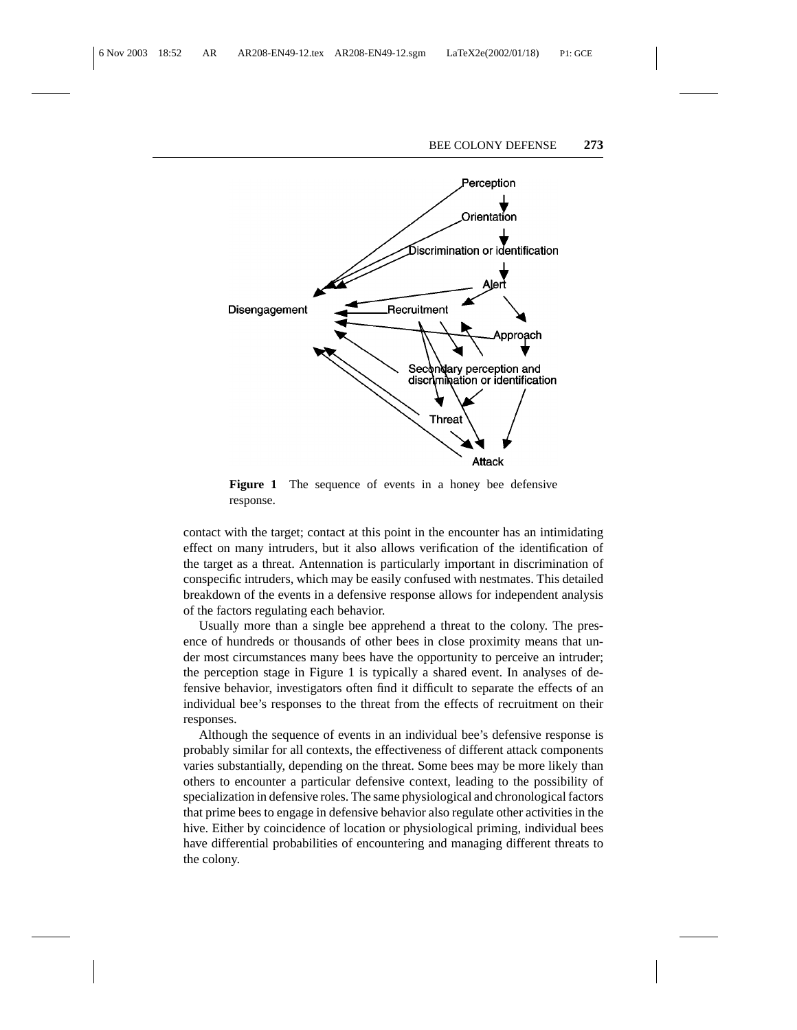

**Figure 1** The sequence of events in a honey bee defensive response.

contact with the target; contact at this point in the encounter has an intimidating effect on many intruders, but it also allows verification of the identification of the target as a threat. Antennation is particularly important in discrimination of conspecific intruders, which may be easily confused with nestmates. This detailed breakdown of the events in a defensive response allows for independent analysis of the factors regulating each behavior.

Usually more than a single bee apprehend a threat to the colony. The presence of hundreds or thousands of other bees in close proximity means that under most circumstances many bees have the opportunity to perceive an intruder; the perception stage in Figure 1 is typically a shared event. In analyses of defensive behavior, investigators often find it difficult to separate the effects of an individual bee's responses to the threat from the effects of recruitment on their responses.

Although the sequence of events in an individual bee's defensive response is probably similar for all contexts, the effectiveness of different attack components varies substantially, depending on the threat. Some bees may be more likely than others to encounter a particular defensive context, leading to the possibility of specialization in defensive roles. The same physiological and chronological factors that prime bees to engage in defensive behavior also regulate other activities in the hive. Either by coincidence of location or physiological priming, individual bees have differential probabilities of encountering and managing different threats to the colony.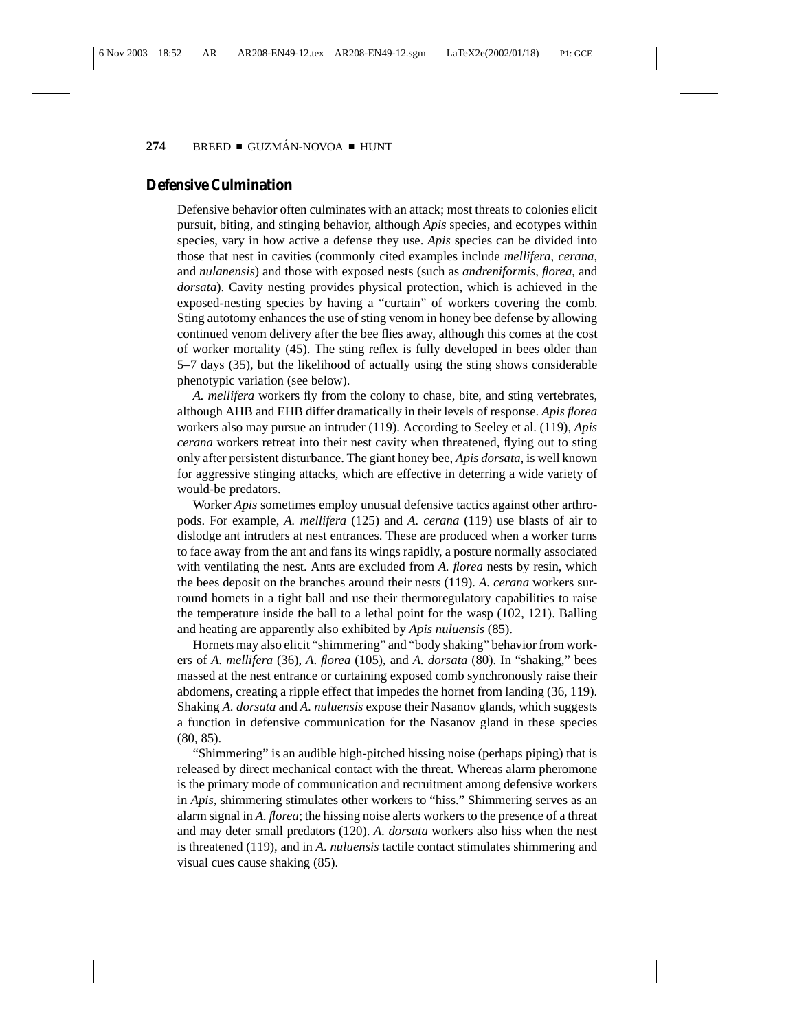#### **Defensive Culmination**

Defensive behavior often culminates with an attack; most threats to colonies elicit pursuit, biting, and stinging behavior, although *Apis* species, and ecotypes within species, vary in how active a defense they use. *Apis* species can be divided into those that nest in cavities (commonly cited examples include *mellifera*, *cerana*, and *nulanensis*) and those with exposed nests (such as *andreniformis*, *florea*, and *dorsata*). Cavity nesting provides physical protection, which is achieved in the exposed-nesting species by having a "curtain" of workers covering the comb. Sting autotomy enhances the use of sting venom in honey bee defense by allowing continued venom delivery after the bee flies away, although this comes at the cost of worker mortality (45). The sting reflex is fully developed in bees older than 5–7 days (35), but the likelihood of actually using the sting shows considerable phenotypic variation (see below).

*A. mellifera* workers fly from the colony to chase, bite, and sting vertebrates, although AHB and EHB differ dramatically in their levels of response. *Apis florea* workers also may pursue an intruder (119). According to Seeley et al. (119), *Apis cerana* workers retreat into their nest cavity when threatened, flying out to sting only after persistent disturbance. The giant honey bee, *Apis dorsata*, is well known for aggressive stinging attacks, which are effective in deterring a wide variety of would-be predators.

Worker *Apis* sometimes employ unusual defensive tactics against other arthropods. For example, *A. mellifera* (125) and *A. cerana* (119) use blasts of air to dislodge ant intruders at nest entrances. These are produced when a worker turns to face away from the ant and fans its wings rapidly, a posture normally associated with ventilating the nest. Ants are excluded from *A. florea* nests by resin, which the bees deposit on the branches around their nests (119). *A. cerana* workers surround hornets in a tight ball and use their thermoregulatory capabilities to raise the temperature inside the ball to a lethal point for the wasp (102, 121). Balling and heating are apparently also exhibited by *Apis nuluensis* (85).

Hornets may also elicit "shimmering" and "body shaking" behavior from workers of *A. mellifera* (36), *A*. *florea* (105), and *A. dorsata* (80). In "shaking," bees massed at the nest entrance or curtaining exposed comb synchronously raise their abdomens, creating a ripple effect that impedes the hornet from landing (36, 119). Shaking *A. dorsata* and *A. nuluensis* expose their Nasanov glands, which suggests a function in defensive communication for the Nasanov gland in these species (80, 85).

"Shimmering" is an audible high-pitched hissing noise (perhaps piping) that is released by direct mechanical contact with the threat. Whereas alarm pheromone is the primary mode of communication and recruitment among defensive workers in *Apis*, shimmering stimulates other workers to "hiss." Shimmering serves as an alarm signal in *A. florea*; the hissing noise alerts workers to the presence of a threat and may deter small predators (120). *A. dorsata* workers also hiss when the nest is threatened (119), and in *A*. *nuluensis* tactile contact stimulates shimmering and visual cues cause shaking (85).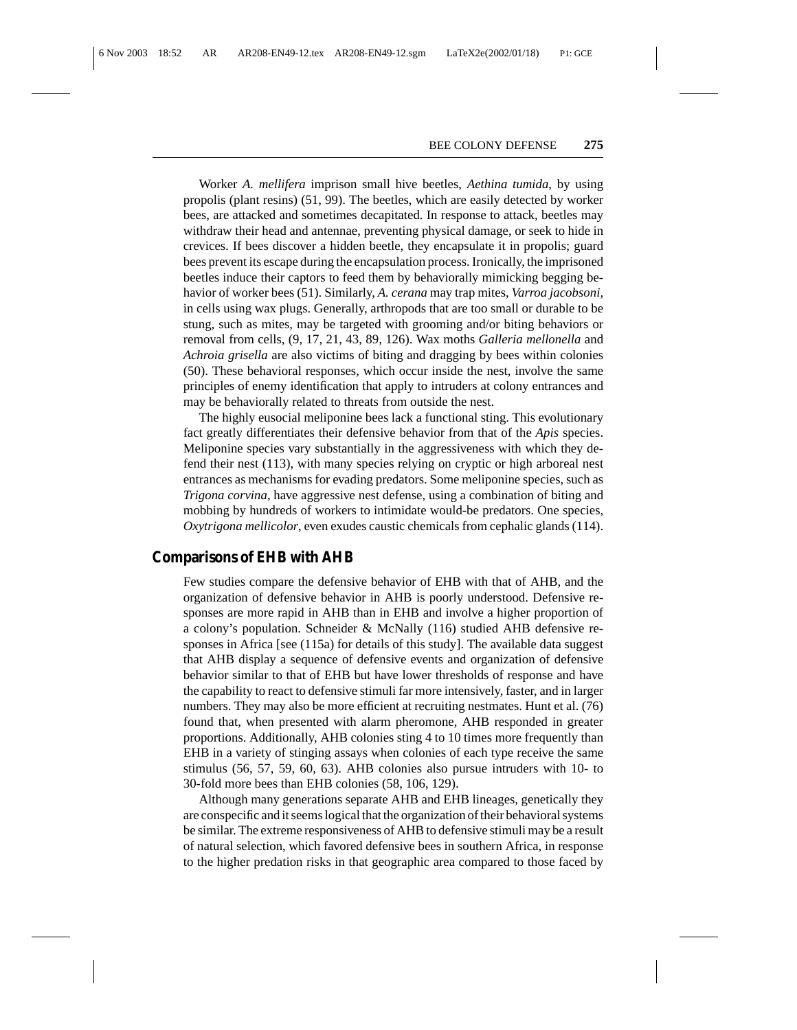Worker *A. mellifera* imprison small hive beetles, *Aethina tumida*, by using propolis (plant resins) (51, 99). The beetles, which are easily detected by worker bees, are attacked and sometimes decapitated. In response to attack, beetles may withdraw their head and antennae, preventing physical damage, or seek to hide in crevices. If bees discover a hidden beetle, they encapsulate it in propolis; guard bees prevent its escape during the encapsulation process. Ironically, the imprisoned beetles induce their captors to feed them by behaviorally mimicking begging behavior of worker bees (51). Similarly, *A. cerana* may trap mites, *Varroa jacobsoni*, in cells using wax plugs. Generally, arthropods that are too small or durable to be stung, such as mites, may be targeted with grooming and/or biting behaviors or removal from cells, (9, 17, 21, 43, 89, 126). Wax moths *Galleria mellonella* and *Achroia grisella* are also victims of biting and dragging by bees within colonies (50). These behavioral responses, which occur inside the nest, involve the same principles of enemy identification that apply to intruders at colony entrances and may be behaviorally related to threats from outside the nest.

The highly eusocial meliponine bees lack a functional sting. This evolutionary fact greatly differentiates their defensive behavior from that of the *Apis* species. Meliponine species vary substantially in the aggressiveness with which they defend their nest (113), with many species relying on cryptic or high arboreal nest entrances as mechanisms for evading predators. Some meliponine species, such as *Trigona corvina*, have aggressive nest defense, using a combination of biting and mobbing by hundreds of workers to intimidate would-be predators. One species, *Oxytrigona mellicolor*, even exudes caustic chemicals from cephalic glands (114).

## **Comparisons of EHB with AHB**

Few studies compare the defensive behavior of EHB with that of AHB, and the organization of defensive behavior in AHB is poorly understood. Defensive responses are more rapid in AHB than in EHB and involve a higher proportion of a colony's population. Schneider & McNally (116) studied AHB defensive responses in Africa [see (115a) for details of this study]. The available data suggest that AHB display a sequence of defensive events and organization of defensive behavior similar to that of EHB but have lower thresholds of response and have the capability to react to defensive stimuli far more intensively, faster, and in larger numbers. They may also be more efficient at recruiting nestmates. Hunt et al. (76) found that, when presented with alarm pheromone, AHB responded in greater proportions. Additionally, AHB colonies sting 4 to 10 times more frequently than EHB in a variety of stinging assays when colonies of each type receive the same stimulus (56, 57, 59, 60, 63). AHB colonies also pursue intruders with 10- to 30-fold more bees than EHB colonies (58, 106, 129).

Although many generations separate AHB and EHB lineages, genetically they are conspecific and it seems logical that the organization of their behavioral systems be similar. The extreme responsiveness of AHB to defensive stimuli may be a result of natural selection, which favored defensive bees in southern Africa, in response to the higher predation risks in that geographic area compared to those faced by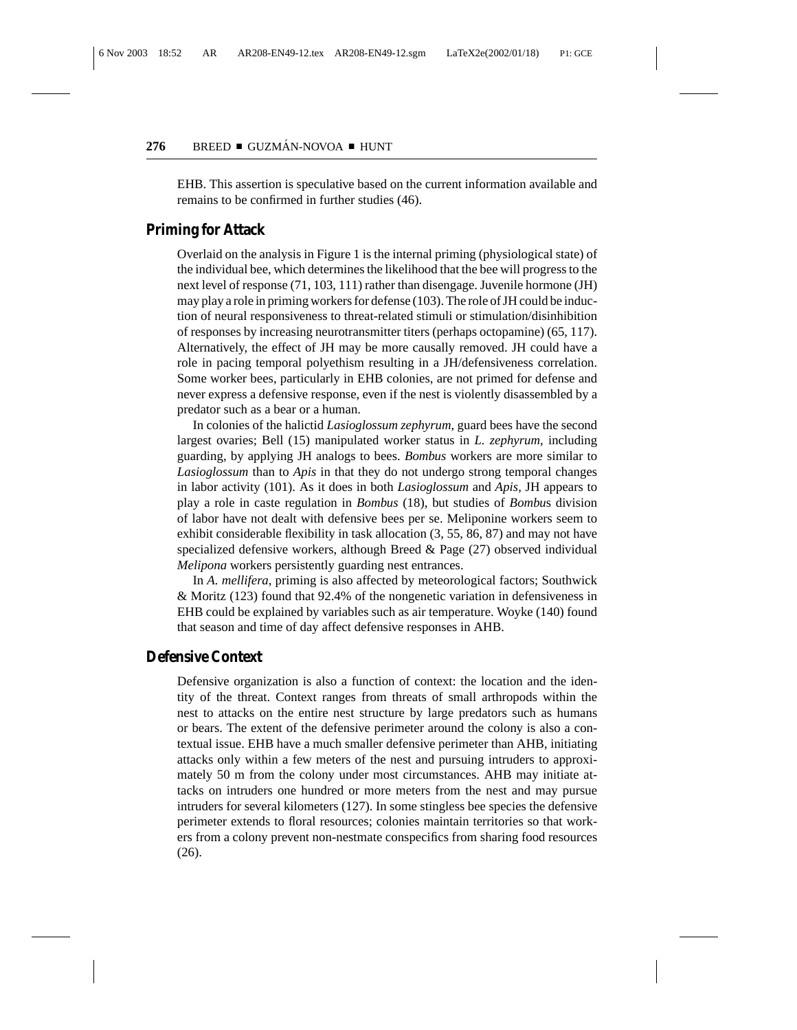EHB. This assertion is speculative based on the current information available and remains to be confirmed in further studies (46).

## **Priming for Attack**

Overlaid on the analysis in Figure 1 is the internal priming (physiological state) of the individual bee, which determines the likelihood that the bee will progress to the next level of response (71, 103, 111) rather than disengage. Juvenile hormone (JH) may play a role in priming workers for defense (103). The role of JH could be induction of neural responsiveness to threat-related stimuli or stimulation/disinhibition of responses by increasing neurotransmitter titers (perhaps octopamine) (65, 117). Alternatively, the effect of JH may be more causally removed. JH could have a role in pacing temporal polyethism resulting in a JH/defensiveness correlation. Some worker bees, particularly in EHB colonies, are not primed for defense and never express a defensive response, even if the nest is violently disassembled by a predator such as a bear or a human.

In colonies of the halictid *Lasioglossum zephyrum*, guard bees have the second largest ovaries; Bell (15) manipulated worker status in *L. zephyrum*, including guarding, by applying JH analogs to bees. *Bombus* workers are more similar to *Lasioglossum* than to *Apis* in that they do not undergo strong temporal changes in labor activity (101). As it does in both *Lasioglossum* and *Apis*, JH appears to play a role in caste regulation in *Bombus* (18), but studies of *Bombu*s division of labor have not dealt with defensive bees per se. Meliponine workers seem to exhibit considerable flexibility in task allocation (3, 55, 86, 87) and may not have specialized defensive workers, although Breed  $\&$  Page (27) observed individual *Melipona* workers persistently guarding nest entrances.

In *A. mellifera*, priming is also affected by meteorological factors; Southwick & Moritz (123) found that 92.4% of the nongenetic variation in defensiveness in EHB could be explained by variables such as air temperature. Woyke (140) found that season and time of day affect defensive responses in AHB.

#### **Defensive Context**

Defensive organization is also a function of context: the location and the identity of the threat. Context ranges from threats of small arthropods within the nest to attacks on the entire nest structure by large predators such as humans or bears. The extent of the defensive perimeter around the colony is also a contextual issue. EHB have a much smaller defensive perimeter than AHB, initiating attacks only within a few meters of the nest and pursuing intruders to approximately 50 m from the colony under most circumstances. AHB may initiate attacks on intruders one hundred or more meters from the nest and may pursue intruders for several kilometers (127). In some stingless bee species the defensive perimeter extends to floral resources; colonies maintain territories so that workers from a colony prevent non-nestmate conspecifics from sharing food resources (26).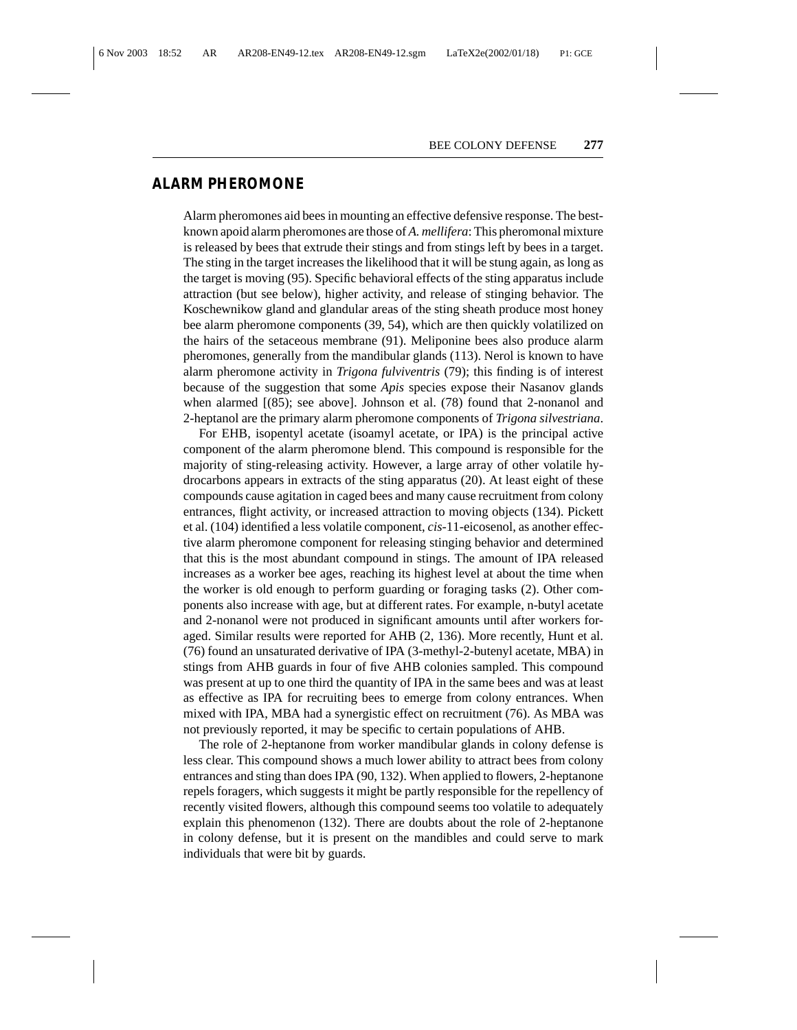## **ALARM PHEROMONE**

Alarm pheromones aid bees in mounting an effective defensive response. The bestknown apoid alarm pheromones are those of *A. mellifera*: This pheromonal mixture is released by bees that extrude their stings and from stings left by bees in a target. The sting in the target increases the likelihood that it will be stung again, as long as the target is moving (95). Specific behavioral effects of the sting apparatus include attraction (but see below), higher activity, and release of stinging behavior. The Koschewnikow gland and glandular areas of the sting sheath produce most honey bee alarm pheromone components (39, 54), which are then quickly volatilized on the hairs of the setaceous membrane (91). Meliponine bees also produce alarm pheromones, generally from the mandibular glands (113). Nerol is known to have alarm pheromone activity in *Trigona fulviventris* (79); this finding is of interest because of the suggestion that some *Apis* species expose their Nasanov glands when alarmed [(85); see above]. Johnson et al. (78) found that 2-nonanol and 2-heptanol are the primary alarm pheromone components of *Trigona silvestriana*.

For EHB, isopentyl acetate (isoamyl acetate, or IPA) is the principal active component of the alarm pheromone blend. This compound is responsible for the majority of sting-releasing activity. However, a large array of other volatile hydrocarbons appears in extracts of the sting apparatus (20). At least eight of these compounds cause agitation in caged bees and many cause recruitment from colony entrances, flight activity, or increased attraction to moving objects (134). Pickett et al. (104) identified a less volatile component, *cis*-11-eicosenol, as another effective alarm pheromone component for releasing stinging behavior and determined that this is the most abundant compound in stings. The amount of IPA released increases as a worker bee ages, reaching its highest level at about the time when the worker is old enough to perform guarding or foraging tasks (2). Other components also increase with age, but at different rates. For example, n-butyl acetate and 2-nonanol were not produced in significant amounts until after workers foraged. Similar results were reported for AHB (2, 136). More recently, Hunt et al. (76) found an unsaturated derivative of IPA (3-methyl-2-butenyl acetate, MBA) in stings from AHB guards in four of five AHB colonies sampled. This compound was present at up to one third the quantity of IPA in the same bees and was at least as effective as IPA for recruiting bees to emerge from colony entrances. When mixed with IPA, MBA had a synergistic effect on recruitment (76). As MBA was not previously reported, it may be specific to certain populations of AHB.

The role of 2-heptanone from worker mandibular glands in colony defense is less clear. This compound shows a much lower ability to attract bees from colony entrances and sting than does IPA (90, 132). When applied to flowers, 2-heptanone repels foragers, which suggests it might be partly responsible for the repellency of recently visited flowers, although this compound seems too volatile to adequately explain this phenomenon (132). There are doubts about the role of 2-heptanone in colony defense, but it is present on the mandibles and could serve to mark individuals that were bit by guards.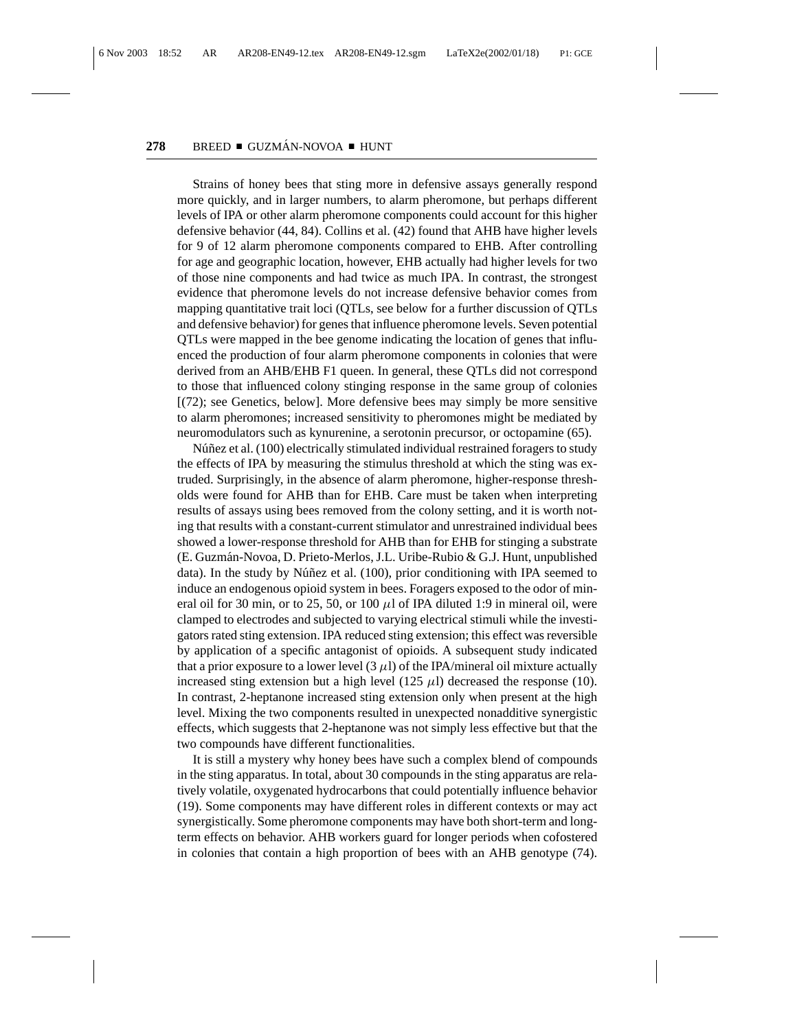Strains of honey bees that sting more in defensive assays generally respond more quickly, and in larger numbers, to alarm pheromone, but perhaps different levels of IPA or other alarm pheromone components could account for this higher defensive behavior (44, 84). Collins et al. (42) found that AHB have higher levels for 9 of 12 alarm pheromone components compared to EHB. After controlling for age and geographic location, however, EHB actually had higher levels for two of those nine components and had twice as much IPA. In contrast, the strongest evidence that pheromone levels do not increase defensive behavior comes from mapping quantitative trait loci (QTLs, see below for a further discussion of QTLs and defensive behavior) for genes that influence pheromone levels. Seven potential QTLs were mapped in the bee genome indicating the location of genes that influenced the production of four alarm pheromone components in colonies that were derived from an AHB/EHB F1 queen. In general, these QTLs did not correspond to those that influenced colony stinging response in the same group of colonies [(72); see Genetics, below]. More defensive bees may simply be more sensitive to alarm pheromones; increased sensitivity to pheromones might be mediated by neuromodulators such as kynurenine, a serotonin precursor, or octopamine (65).

Núñez et al. (100) electrically stimulated individual restrained foragers to study the effects of IPA by measuring the stimulus threshold at which the sting was extruded. Surprisingly, in the absence of alarm pheromone, higher-response thresholds were found for AHB than for EHB. Care must be taken when interpreting results of assays using bees removed from the colony setting, and it is worth noting that results with a constant-current stimulator and unrestrained individual bees showed a lower-response threshold for AHB than for EHB for stinging a substrate (E. Guzm´an-Novoa, D. Prieto-Merlos, J.L. Uribe-Rubio & G.J. Hunt, unpublished data). In the study by Núñez et al.  $(100)$ , prior conditioning with IPA seemed to induce an endogenous opioid system in bees. Foragers exposed to the odor of mineral oil for 30 min, or to 25, 50, or 100  $\mu$ l of IPA diluted 1:9 in mineral oil, were clamped to electrodes and subjected to varying electrical stimuli while the investigators rated sting extension. IPA reduced sting extension; this effect was reversible by application of a specific antagonist of opioids. A subsequent study indicated that a prior exposure to a lower level  $(3 \mu I)$  of the IPA/mineral oil mixture actually increased sting extension but a high level (125  $\mu$ l) decreased the response (10). In contrast, 2-heptanone increased sting extension only when present at the high level. Mixing the two components resulted in unexpected nonadditive synergistic effects, which suggests that 2-heptanone was not simply less effective but that the two compounds have different functionalities.

It is still a mystery why honey bees have such a complex blend of compounds in the sting apparatus. In total, about 30 compounds in the sting apparatus are relatively volatile, oxygenated hydrocarbons that could potentially influence behavior (19). Some components may have different roles in different contexts or may act synergistically. Some pheromone components may have both short-term and longterm effects on behavior. AHB workers guard for longer periods when cofostered in colonies that contain a high proportion of bees with an AHB genotype (74).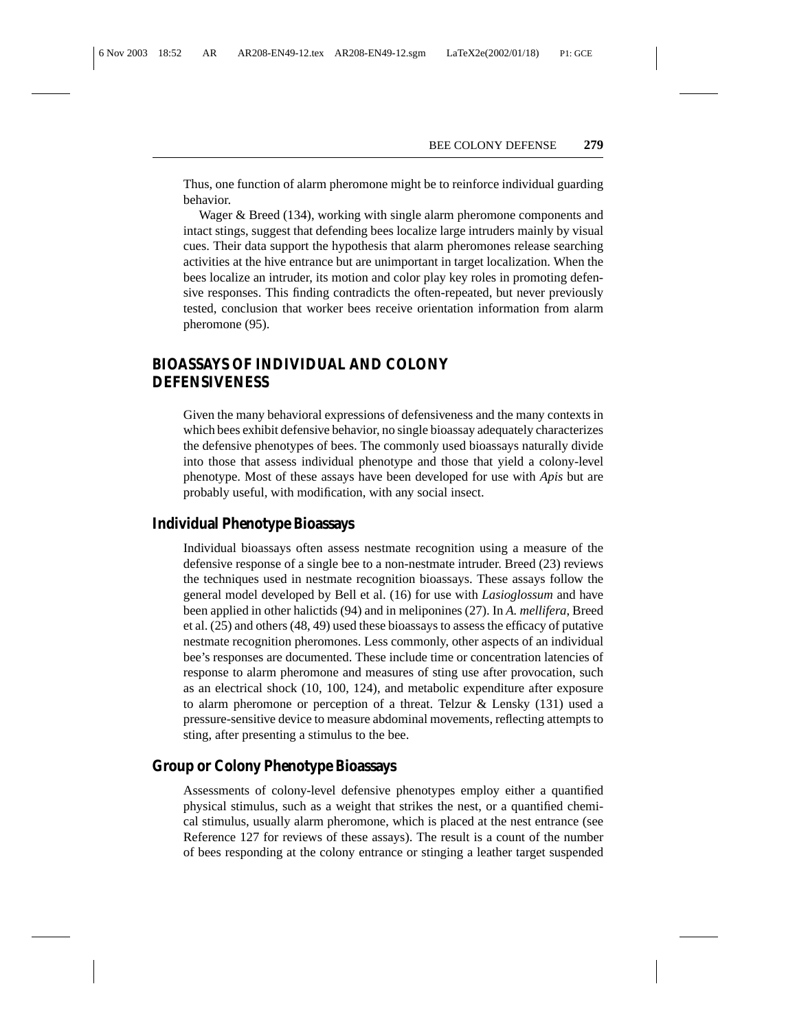Thus, one function of alarm pheromone might be to reinforce individual guarding behavior.

Wager & Breed (134), working with single alarm pheromone components and intact stings, suggest that defending bees localize large intruders mainly by visual cues. Their data support the hypothesis that alarm pheromones release searching activities at the hive entrance but are unimportant in target localization. When the bees localize an intruder, its motion and color play key roles in promoting defensive responses. This finding contradicts the often-repeated, but never previously tested, conclusion that worker bees receive orientation information from alarm pheromone (95).

# **BIOASSAYS OF INDIVIDUAL AND COLONY DEFENSIVENESS**

Given the many behavioral expressions of defensiveness and the many contexts in which bees exhibit defensive behavior, no single bioassay adequately characterizes the defensive phenotypes of bees. The commonly used bioassays naturally divide into those that assess individual phenotype and those that yield a colony-level phenotype. Most of these assays have been developed for use with *Apis* but are probably useful, with modification, with any social insect.

# **Individual Phenotype Bioassays**

Individual bioassays often assess nestmate recognition using a measure of the defensive response of a single bee to a non-nestmate intruder. Breed (23) reviews the techniques used in nestmate recognition bioassays. These assays follow the general model developed by Bell et al. (16) for use with *Lasioglossum* and have been applied in other halictids (94) and in meliponines (27). In *A. mellifera*, Breed et al. (25) and others (48, 49) used these bioassays to assess the efficacy of putative nestmate recognition pheromones. Less commonly, other aspects of an individual bee's responses are documented. These include time or concentration latencies of response to alarm pheromone and measures of sting use after provocation, such as an electrical shock (10, 100, 124), and metabolic expenditure after exposure to alarm pheromone or perception of a threat. Telzur & Lensky (131) used a pressure-sensitive device to measure abdominal movements, reflecting attempts to sting, after presenting a stimulus to the bee.

# **Group or Colony Phenotype Bioassays**

Assessments of colony-level defensive phenotypes employ either a quantified physical stimulus, such as a weight that strikes the nest, or a quantified chemical stimulus, usually alarm pheromone, which is placed at the nest entrance (see Reference 127 for reviews of these assays). The result is a count of the number of bees responding at the colony entrance or stinging a leather target suspended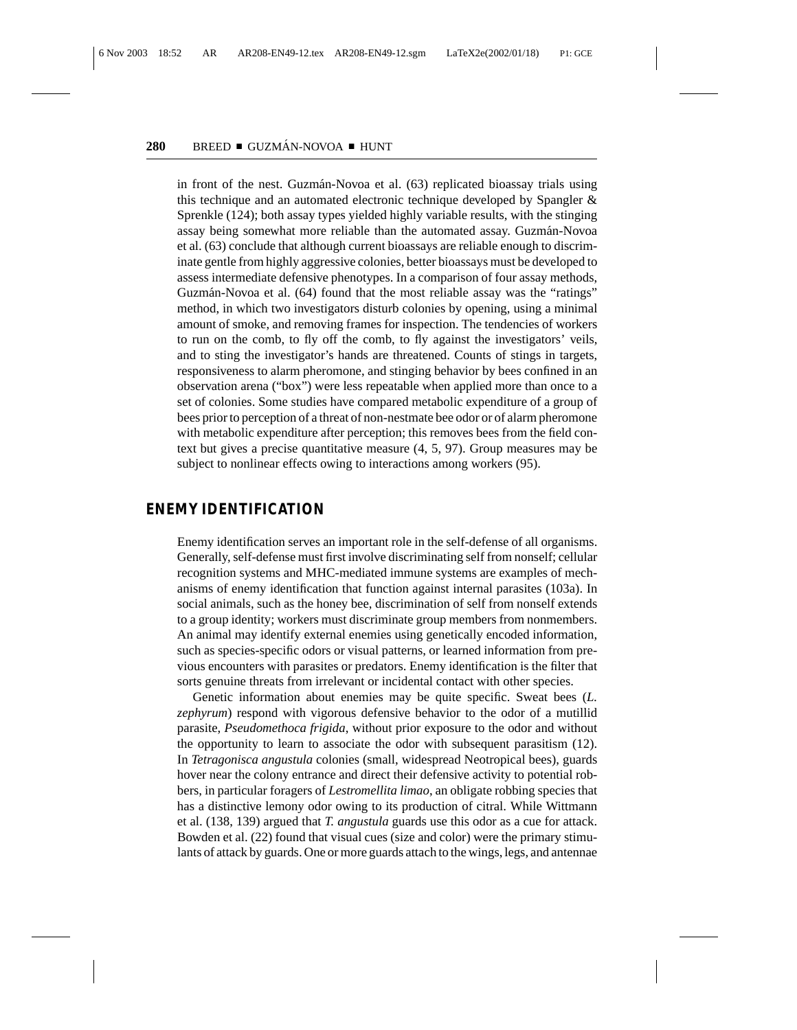in front of the nest. Guzmán-Novoa et al. (63) replicated bioassay trials using this technique and an automated electronic technique developed by Spangler & Sprenkle (124); both assay types yielded highly variable results, with the stinging assay being somewhat more reliable than the automated assay. Guzmán-Novoa et al. (63) conclude that although current bioassays are reliable enough to discriminate gentle from highly aggressive colonies, better bioassays must be developed to assess intermediate defensive phenotypes. In a comparison of four assay methods, Guzmán-Novoa et al. (64) found that the most reliable assay was the "ratings" method, in which two investigators disturb colonies by opening, using a minimal amount of smoke, and removing frames for inspection. The tendencies of workers to run on the comb, to fly off the comb, to fly against the investigators' veils, and to sting the investigator's hands are threatened. Counts of stings in targets, responsiveness to alarm pheromone, and stinging behavior by bees confined in an observation arena ("box") were less repeatable when applied more than once to a set of colonies. Some studies have compared metabolic expenditure of a group of bees prior to perception of a threat of non-nestmate bee odor or of alarm pheromone with metabolic expenditure after perception; this removes bees from the field context but gives a precise quantitative measure (4, 5, 97). Group measures may be subject to nonlinear effects owing to interactions among workers (95).

## **ENEMY IDENTIFICATION**

Enemy identification serves an important role in the self-defense of all organisms. Generally, self-defense must first involve discriminating self from nonself; cellular recognition systems and MHC-mediated immune systems are examples of mechanisms of enemy identification that function against internal parasites (103a). In social animals, such as the honey bee, discrimination of self from nonself extends to a group identity; workers must discriminate group members from nonmembers. An animal may identify external enemies using genetically encoded information, such as species-specific odors or visual patterns, or learned information from previous encounters with parasites or predators. Enemy identification is the filter that sorts genuine threats from irrelevant or incidental contact with other species.

Genetic information about enemies may be quite specific. Sweat bees (*L. zephyrum*) respond with vigorous defensive behavior to the odor of a mutillid parasite, *Pseudomethoca frigida*, without prior exposure to the odor and without the opportunity to learn to associate the odor with subsequent parasitism (12). In *Tetragonisca angustula* colonies (small, widespread Neotropical bees), guards hover near the colony entrance and direct their defensive activity to potential robbers, in particular foragers of *Lestromellita limao*, an obligate robbing species that has a distinctive lemony odor owing to its production of citral. While Wittmann et al. (138, 139) argued that *T. angustula* guards use this odor as a cue for attack. Bowden et al. (22) found that visual cues (size and color) were the primary stimulants of attack by guards. One or more guards attach to the wings, legs, and antennae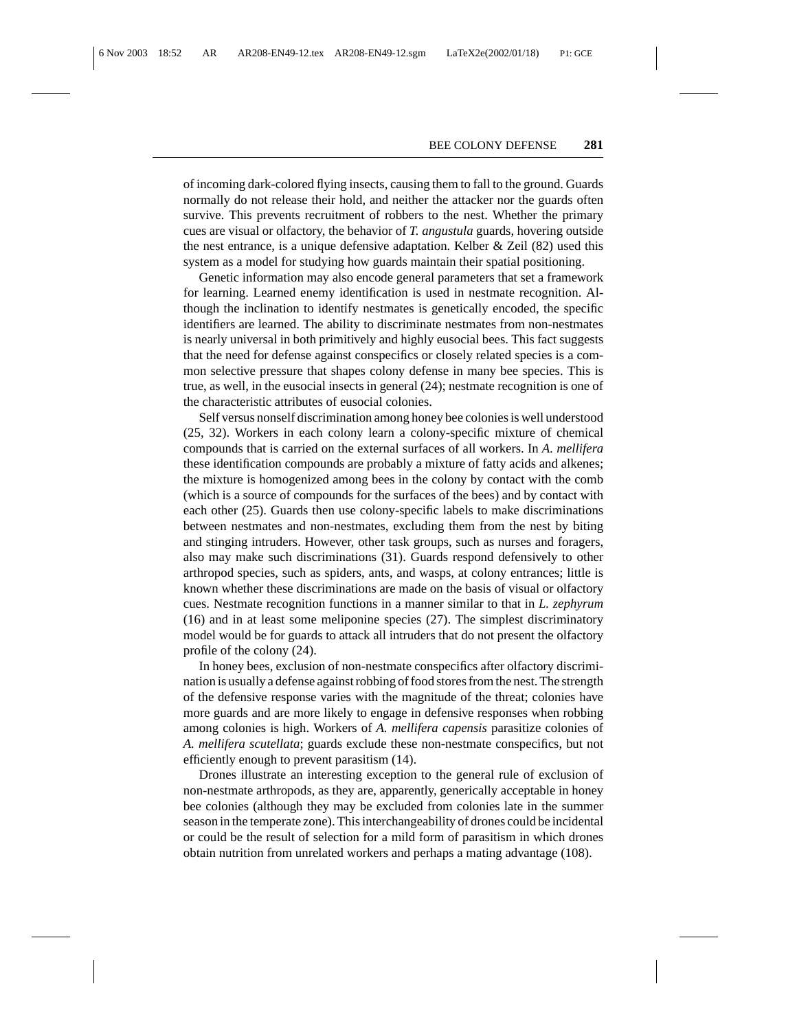of incoming dark-colored flying insects, causing them to fall to the ground. Guards normally do not release their hold, and neither the attacker nor the guards often survive. This prevents recruitment of robbers to the nest. Whether the primary cues are visual or olfactory, the behavior of *T. angustula* guards, hovering outside the nest entrance, is a unique defensive adaptation. Kelber  $\&$  Zeil (82) used this system as a model for studying how guards maintain their spatial positioning.

Genetic information may also encode general parameters that set a framework for learning. Learned enemy identification is used in nestmate recognition. Although the inclination to identify nestmates is genetically encoded, the specific identifiers are learned. The ability to discriminate nestmates from non-nestmates is nearly universal in both primitively and highly eusocial bees. This fact suggests that the need for defense against conspecifics or closely related species is a common selective pressure that shapes colony defense in many bee species. This is true, as well, in the eusocial insects in general (24); nestmate recognition is one of the characteristic attributes of eusocial colonies.

Self versus nonself discrimination among honey bee colonies is well understood (25, 32). Workers in each colony learn a colony-specific mixture of chemical compounds that is carried on the external surfaces of all workers. In *A. mellifera* these identification compounds are probably a mixture of fatty acids and alkenes; the mixture is homogenized among bees in the colony by contact with the comb (which is a source of compounds for the surfaces of the bees) and by contact with each other (25). Guards then use colony-specific labels to make discriminations between nestmates and non-nestmates, excluding them from the nest by biting and stinging intruders. However, other task groups, such as nurses and foragers, also may make such discriminations (31). Guards respond defensively to other arthropod species, such as spiders, ants, and wasps, at colony entrances; little is known whether these discriminations are made on the basis of visual or olfactory cues. Nestmate recognition functions in a manner similar to that in *L. zephyrum* (16) and in at least some meliponine species (27). The simplest discriminatory model would be for guards to attack all intruders that do not present the olfactory profile of the colony (24).

In honey bees, exclusion of non-nestmate conspecifics after olfactory discrimination is usually a defense against robbing of food stores from the nest. The strength of the defensive response varies with the magnitude of the threat; colonies have more guards and are more likely to engage in defensive responses when robbing among colonies is high. Workers of *A. mellifera capensis* parasitize colonies of *A. mellifera scutellata*; guards exclude these non-nestmate conspecifics, but not efficiently enough to prevent parasitism (14).

Drones illustrate an interesting exception to the general rule of exclusion of non-nestmate arthropods, as they are, apparently, generically acceptable in honey bee colonies (although they may be excluded from colonies late in the summer season in the temperate zone). This interchangeability of drones could be incidental or could be the result of selection for a mild form of parasitism in which drones obtain nutrition from unrelated workers and perhaps a mating advantage (108).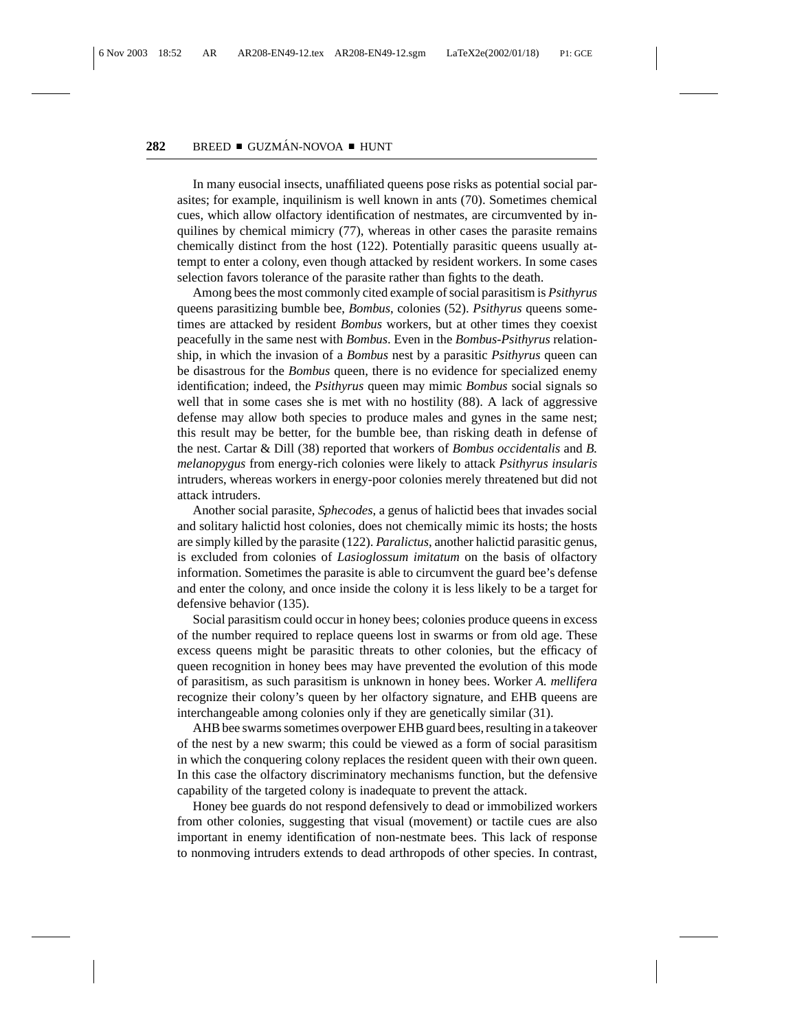In many eusocial insects, unaffiliated queens pose risks as potential social parasites; for example, inquilinism is well known in ants (70). Sometimes chemical cues, which allow olfactory identification of nestmates, are circumvented by inquilines by chemical mimicry (77), whereas in other cases the parasite remains chemically distinct from the host (122). Potentially parasitic queens usually attempt to enter a colony, even though attacked by resident workers. In some cases selection favors tolerance of the parasite rather than fights to the death.

Among bees the most commonly cited example of social parasitism is *Psithyrus* queens parasitizing bumble bee, *Bombus*, colonies (52). *Psithyrus* queens sometimes are attacked by resident *Bombus* workers, but at other times they coexist peacefully in the same nest with *Bombus*. Even in the *Bombus-Psithyrus* relationship, in which the invasion of a *Bombus* nest by a parasitic *Psithyrus* queen can be disastrous for the *Bombus* queen, there is no evidence for specialized enemy identification; indeed, the *Psithyrus* queen may mimic *Bombus* social signals so well that in some cases she is met with no hostility (88). A lack of aggressive defense may allow both species to produce males and gynes in the same nest; this result may be better, for the bumble bee, than risking death in defense of the nest. Cartar & Dill (38) reported that workers of *Bombus occidentalis* and *B. melanopygus* from energy-rich colonies were likely to attack *Psithyrus insularis* intruders, whereas workers in energy-poor colonies merely threatened but did not attack intruders.

Another social parasite, *Sphecodes*, a genus of halictid bees that invades social and solitary halictid host colonies, does not chemically mimic its hosts; the hosts are simply killed by the parasite (122). *Paralictus*, another halictid parasitic genus, is excluded from colonies of *Lasioglossum imitatum* on the basis of olfactory information. Sometimes the parasite is able to circumvent the guard bee's defense and enter the colony, and once inside the colony it is less likely to be a target for defensive behavior (135).

Social parasitism could occur in honey bees; colonies produce queens in excess of the number required to replace queens lost in swarms or from old age. These excess queens might be parasitic threats to other colonies, but the efficacy of queen recognition in honey bees may have prevented the evolution of this mode of parasitism, as such parasitism is unknown in honey bees. Worker *A. mellifera* recognize their colony's queen by her olfactory signature, and EHB queens are interchangeable among colonies only if they are genetically similar (31).

AHB bee swarms sometimes overpower EHB guard bees, resulting in a takeover of the nest by a new swarm; this could be viewed as a form of social parasitism in which the conquering colony replaces the resident queen with their own queen. In this case the olfactory discriminatory mechanisms function, but the defensive capability of the targeted colony is inadequate to prevent the attack.

Honey bee guards do not respond defensively to dead or immobilized workers from other colonies, suggesting that visual (movement) or tactile cues are also important in enemy identification of non-nestmate bees. This lack of response to nonmoving intruders extends to dead arthropods of other species. In contrast,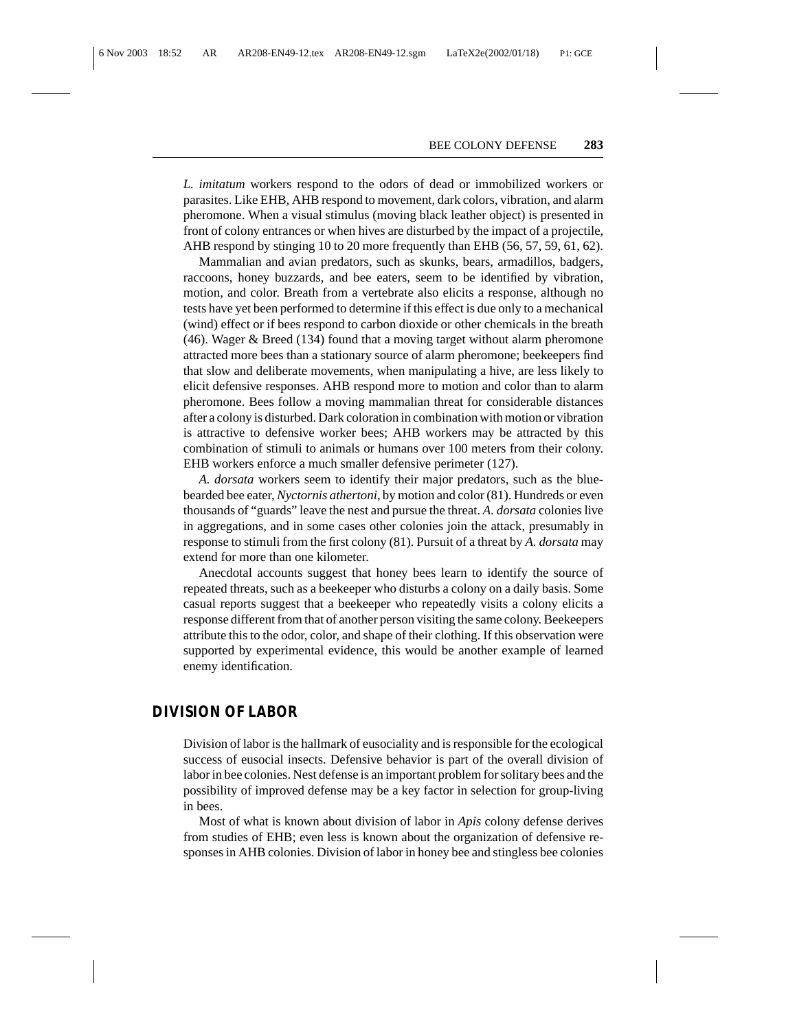*L. imitatum* workers respond to the odors of dead or immobilized workers or parasites. Like EHB, AHB respond to movement, dark colors, vibration, and alarm pheromone. When a visual stimulus (moving black leather object) is presented in front of colony entrances or when hives are disturbed by the impact of a projectile, AHB respond by stinging 10 to 20 more frequently than EHB (56, 57, 59, 61, 62).

Mammalian and avian predators, such as skunks, bears, armadillos, badgers, raccoons, honey buzzards, and bee eaters, seem to be identified by vibration, motion, and color. Breath from a vertebrate also elicits a response, although no tests have yet been performed to determine if this effect is due only to a mechanical (wind) effect or if bees respond to carbon dioxide or other chemicals in the breath (46). Wager & Breed (134) found that a moving target without alarm pheromone attracted more bees than a stationary source of alarm pheromone; beekeepers find that slow and deliberate movements, when manipulating a hive, are less likely to elicit defensive responses. AHB respond more to motion and color than to alarm pheromone. Bees follow a moving mammalian threat for considerable distances after a colony is disturbed. Dark coloration in combination with motion or vibration is attractive to defensive worker bees; AHB workers may be attracted by this combination of stimuli to animals or humans over 100 meters from their colony. EHB workers enforce a much smaller defensive perimeter (127).

*A. dorsata* workers seem to identify their major predators, such as the bluebearded bee eater, *Nyctornis athertoni*, by motion and color (81). Hundreds or even thousands of "guards" leave the nest and pursue the threat. *A. dorsata* colonies live in aggregations, and in some cases other colonies join the attack, presumably in response to stimuli from the first colony (81). Pursuit of a threat by *A. dorsata* may extend for more than one kilometer.

Anecdotal accounts suggest that honey bees learn to identify the source of repeated threats, such as a beekeeper who disturbs a colony on a daily basis. Some casual reports suggest that a beekeeper who repeatedly visits a colony elicits a response different from that of another person visiting the same colony. Beekeepers attribute this to the odor, color, and shape of their clothing. If this observation were supported by experimental evidence, this would be another example of learned enemy identification.

#### **DIVISION OF LABOR**

Division of labor is the hallmark of eusociality and is responsible for the ecological success of eusocial insects. Defensive behavior is part of the overall division of labor in bee colonies. Nest defense is an important problem for solitary bees and the possibility of improved defense may be a key factor in selection for group-living in bees.

Most of what is known about division of labor in *Apis* colony defense derives from studies of EHB; even less is known about the organization of defensive responses in AHB colonies. Division of labor in honey bee and stingless bee colonies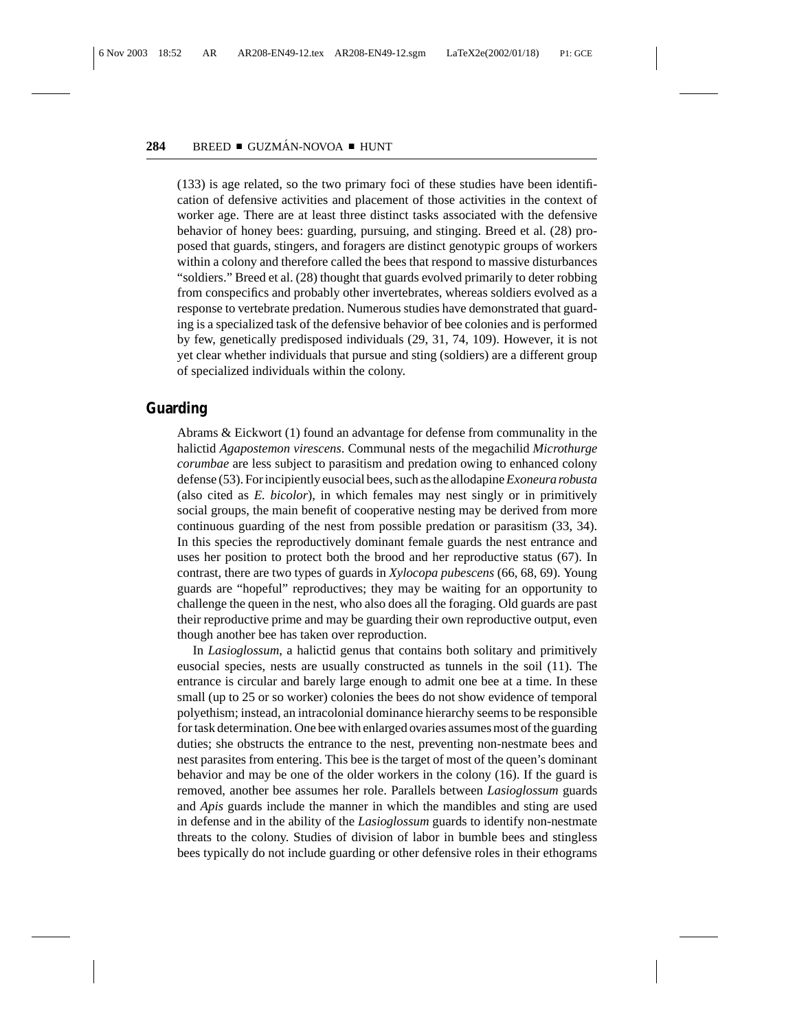(133) is age related, so the two primary foci of these studies have been identification of defensive activities and placement of those activities in the context of worker age. There are at least three distinct tasks associated with the defensive behavior of honey bees: guarding, pursuing, and stinging. Breed et al. (28) proposed that guards, stingers, and foragers are distinct genotypic groups of workers within a colony and therefore called the bees that respond to massive disturbances "soldiers." Breed et al. (28) thought that guards evolved primarily to deter robbing from conspecifics and probably other invertebrates, whereas soldiers evolved as a response to vertebrate predation. Numerous studies have demonstrated that guarding is a specialized task of the defensive behavior of bee colonies and is performed by few, genetically predisposed individuals (29, 31, 74, 109). However, it is not yet clear whether individuals that pursue and sting (soldiers) are a different group of specialized individuals within the colony.

## **Guarding**

Abrams & Eickwort (1) found an advantage for defense from communality in the halictid *Agapostemon virescens*. Communal nests of the megachilid *Microthurge corumbae* are less subject to parasitism and predation owing to enhanced colony defense (53). For incipiently eusocial bees, such as the allodapine*Exoneura robusta* (also cited as *E. bicolor*), in which females may nest singly or in primitively social groups, the main benefit of cooperative nesting may be derived from more continuous guarding of the nest from possible predation or parasitism (33, 34). In this species the reproductively dominant female guards the nest entrance and uses her position to protect both the brood and her reproductive status (67). In contrast, there are two types of guards in *Xylocopa pubescens* (66, 68, 69). Young guards are "hopeful" reproductives; they may be waiting for an opportunity to challenge the queen in the nest, who also does all the foraging. Old guards are past their reproductive prime and may be guarding their own reproductive output, even though another bee has taken over reproduction.

In *Lasioglossum*, a halictid genus that contains both solitary and primitively eusocial species, nests are usually constructed as tunnels in the soil (11). The entrance is circular and barely large enough to admit one bee at a time. In these small (up to 25 or so worker) colonies the bees do not show evidence of temporal polyethism; instead, an intracolonial dominance hierarchy seems to be responsible for task determination. One bee with enlarged ovaries assumes most of the guarding duties; she obstructs the entrance to the nest, preventing non-nestmate bees and nest parasites from entering. This bee is the target of most of the queen's dominant behavior and may be one of the older workers in the colony (16). If the guard is removed, another bee assumes her role. Parallels between *Lasioglossum* guards and *Apis* guards include the manner in which the mandibles and sting are used in defense and in the ability of the *Lasioglossum* guards to identify non-nestmate threats to the colony. Studies of division of labor in bumble bees and stingless bees typically do not include guarding or other defensive roles in their ethograms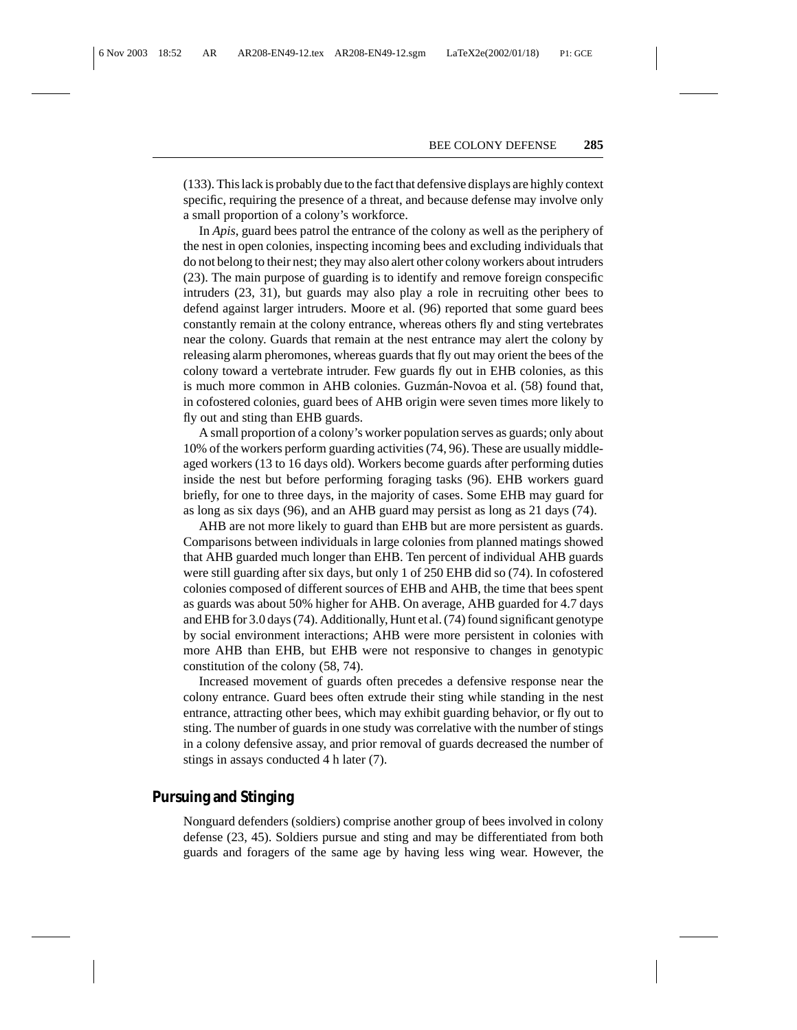(133). This lack is probably due to the fact that defensive displays are highly context specific, requiring the presence of a threat, and because defense may involve only a small proportion of a colony's workforce.

In *Apis*, guard bees patrol the entrance of the colony as well as the periphery of the nest in open colonies, inspecting incoming bees and excluding individuals that do not belong to their nest; they may also alert other colony workers about intruders (23). The main purpose of guarding is to identify and remove foreign conspecific intruders (23, 31), but guards may also play a role in recruiting other bees to defend against larger intruders. Moore et al. (96) reported that some guard bees constantly remain at the colony entrance, whereas others fly and sting vertebrates near the colony. Guards that remain at the nest entrance may alert the colony by releasing alarm pheromones, whereas guards that fly out may orient the bees of the colony toward a vertebrate intruder. Few guards fly out in EHB colonies, as this is much more common in AHB colonies. Guzmán-Novoa et al. (58) found that, in cofostered colonies, guard bees of AHB origin were seven times more likely to fly out and sting than EHB guards.

A small proportion of a colony's worker population serves as guards; only about 10% of the workers perform guarding activities (74, 96). These are usually middleaged workers (13 to 16 days old). Workers become guards after performing duties inside the nest but before performing foraging tasks (96). EHB workers guard briefly, for one to three days, in the majority of cases. Some EHB may guard for as long as six days (96), and an AHB guard may persist as long as 21 days (74).

AHB are not more likely to guard than EHB but are more persistent as guards. Comparisons between individuals in large colonies from planned matings showed that AHB guarded much longer than EHB. Ten percent of individual AHB guards were still guarding after six days, but only 1 of 250 EHB did so (74). In cofostered colonies composed of different sources of EHB and AHB, the time that bees spent as guards was about 50% higher for AHB. On average, AHB guarded for 4.7 days and EHB for 3.0 days (74). Additionally, Hunt et al. (74) found significant genotype by social environment interactions; AHB were more persistent in colonies with more AHB than EHB, but EHB were not responsive to changes in genotypic constitution of the colony (58, 74).

Increased movement of guards often precedes a defensive response near the colony entrance. Guard bees often extrude their sting while standing in the nest entrance, attracting other bees, which may exhibit guarding behavior, or fly out to sting. The number of guards in one study was correlative with the number of stings in a colony defensive assay, and prior removal of guards decreased the number of stings in assays conducted 4 h later (7).

# **Pursuing and Stinging**

Nonguard defenders (soldiers) comprise another group of bees involved in colony defense (23, 45). Soldiers pursue and sting and may be differentiated from both guards and foragers of the same age by having less wing wear. However, the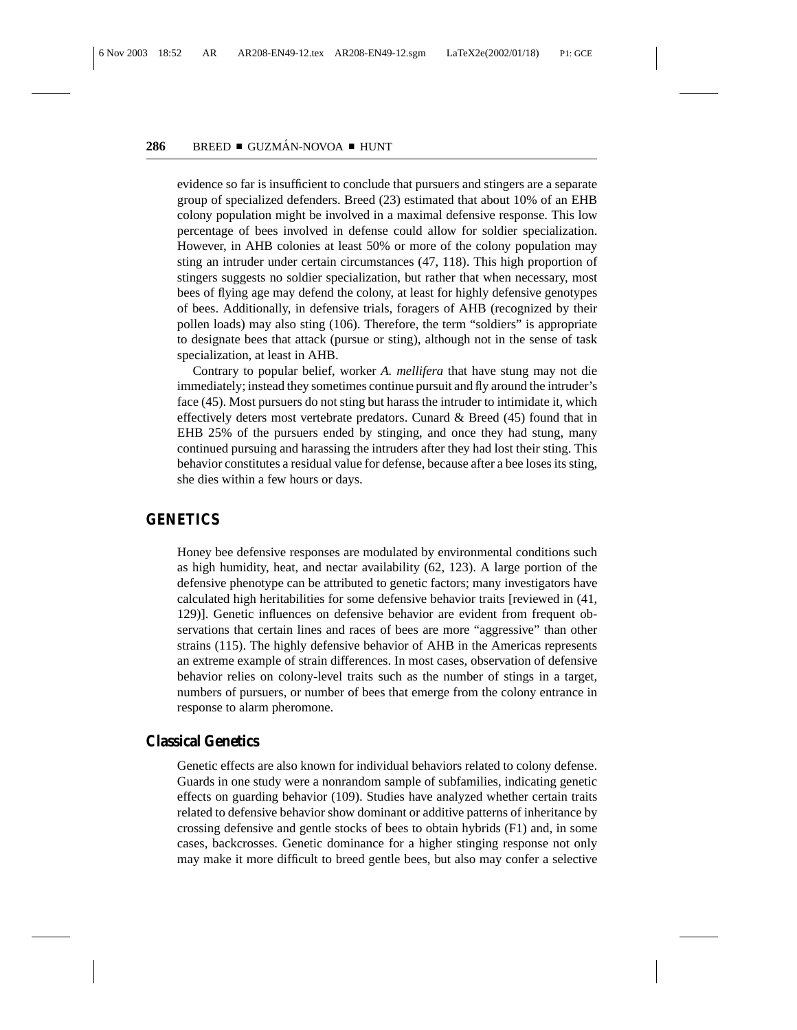evidence so far is insufficient to conclude that pursuers and stingers are a separate group of specialized defenders. Breed (23) estimated that about 10% of an EHB colony population might be involved in a maximal defensive response. This low percentage of bees involved in defense could allow for soldier specialization. However, in AHB colonies at least 50% or more of the colony population may sting an intruder under certain circumstances (47, 118). This high proportion of stingers suggests no soldier specialization, but rather that when necessary, most bees of flying age may defend the colony, at least for highly defensive genotypes of bees. Additionally, in defensive trials, foragers of AHB (recognized by their pollen loads) may also sting (106). Therefore, the term "soldiers" is appropriate to designate bees that attack (pursue or sting), although not in the sense of task specialization, at least in AHB.

Contrary to popular belief, worker *A. mellifera* that have stung may not die immediately; instead they sometimes continue pursuit and fly around the intruder's face (45). Most pursuers do not sting but harass the intruder to intimidate it, which effectively deters most vertebrate predators. Cunard & Breed (45) found that in EHB 25% of the pursuers ended by stinging, and once they had stung, many continued pursuing and harassing the intruders after they had lost their sting. This behavior constitutes a residual value for defense, because after a bee loses its sting, she dies within a few hours or days.

## **GENETICS**

Honey bee defensive responses are modulated by environmental conditions such as high humidity, heat, and nectar availability (62, 123). A large portion of the defensive phenotype can be attributed to genetic factors; many investigators have calculated high heritabilities for some defensive behavior traits [reviewed in (41, 129)]. Genetic influences on defensive behavior are evident from frequent observations that certain lines and races of bees are more "aggressive" than other strains (115). The highly defensive behavior of AHB in the Americas represents an extreme example of strain differences. In most cases, observation of defensive behavior relies on colony-level traits such as the number of stings in a target, numbers of pursuers, or number of bees that emerge from the colony entrance in response to alarm pheromone.

#### **Classical Genetics**

Genetic effects are also known for individual behaviors related to colony defense. Guards in one study were a nonrandom sample of subfamilies, indicating genetic effects on guarding behavior (109). Studies have analyzed whether certain traits related to defensive behavior show dominant or additive patterns of inheritance by crossing defensive and gentle stocks of bees to obtain hybrids (F1) and, in some cases, backcrosses. Genetic dominance for a higher stinging response not only may make it more difficult to breed gentle bees, but also may confer a selective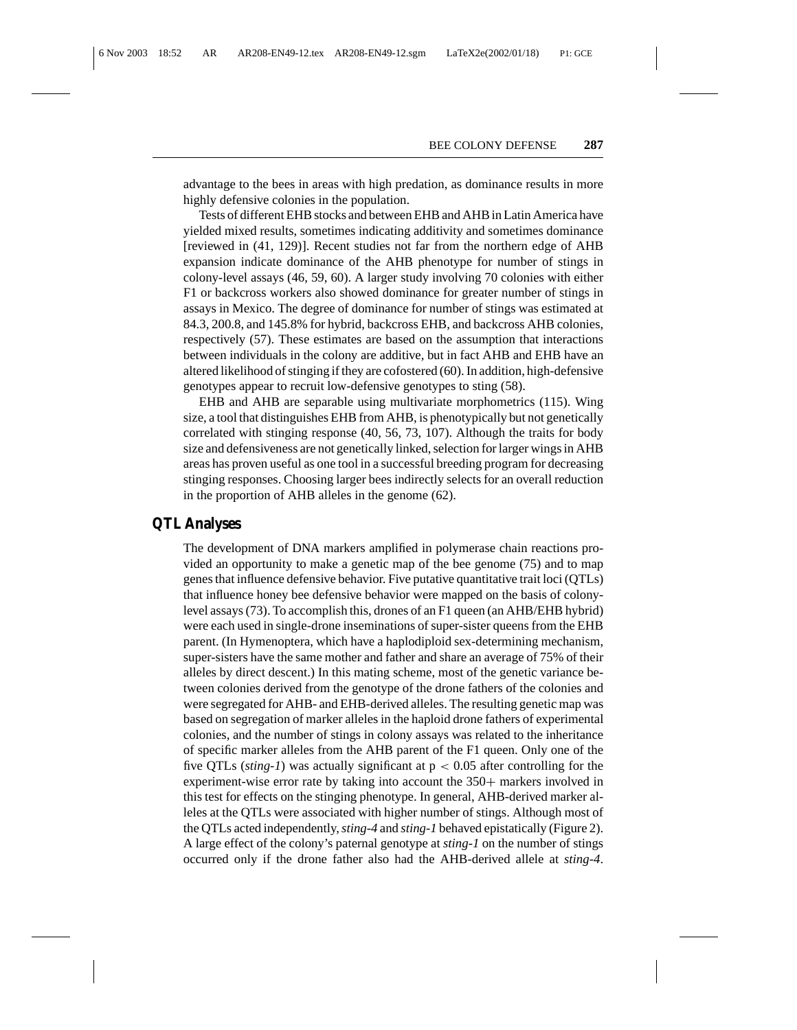advantage to the bees in areas with high predation, as dominance results in more highly defensive colonies in the population.

Tests of different EHB stocks and between EHB and AHB in Latin America have yielded mixed results, sometimes indicating additivity and sometimes dominance [reviewed in (41, 129)]. Recent studies not far from the northern edge of AHB expansion indicate dominance of the AHB phenotype for number of stings in colony-level assays (46, 59, 60). A larger study involving 70 colonies with either F1 or backcross workers also showed dominance for greater number of stings in assays in Mexico. The degree of dominance for number of stings was estimated at 84.3, 200.8, and 145.8% for hybrid, backcross EHB, and backcross AHB colonies, respectively (57). These estimates are based on the assumption that interactions between individuals in the colony are additive, but in fact AHB and EHB have an altered likelihood of stinging if they are cofostered (60). In addition, high-defensive genotypes appear to recruit low-defensive genotypes to sting (58).

EHB and AHB are separable using multivariate morphometrics (115). Wing size, a tool that distinguishes EHB from AHB, is phenotypically but not genetically correlated with stinging response (40, 56, 73, 107). Although the traits for body size and defensiveness are not genetically linked, selection for larger wings in AHB areas has proven useful as one tool in a successful breeding program for decreasing stinging responses. Choosing larger bees indirectly selects for an overall reduction in the proportion of AHB alleles in the genome (62).

#### **QTL Analyses**

The development of DNA markers amplified in polymerase chain reactions provided an opportunity to make a genetic map of the bee genome (75) and to map genes that influence defensive behavior. Five putative quantitative trait loci (QTLs) that influence honey bee defensive behavior were mapped on the basis of colonylevel assays (73). To accomplish this, drones of an F1 queen (an AHB/EHB hybrid) were each used in single-drone inseminations of super-sister queens from the EHB parent. (In Hymenoptera, which have a haplodiploid sex-determining mechanism, super-sisters have the same mother and father and share an average of 75% of their alleles by direct descent.) In this mating scheme, most of the genetic variance between colonies derived from the genotype of the drone fathers of the colonies and were segregated for AHB- and EHB-derived alleles. The resulting genetic map was based on segregation of marker alleles in the haploid drone fathers of experimental colonies, and the number of stings in colony assays was related to the inheritance of specific marker alleles from the AHB parent of the F1 queen. Only one of the five QTLs (*sting-1*) was actually significant at  $p < 0.05$  after controlling for the experiment-wise error rate by taking into account the 350+ markers involved in this test for effects on the stinging phenotype. In general, AHB-derived marker alleles at the QTLs were associated with higher number of stings. Although most of the QTLs acted independently,*sting-4* and *sting-1* behaved epistatically (Figure 2). A large effect of the colony's paternal genotype at *sting-1* on the number of stings occurred only if the drone father also had the AHB-derived allele at *sting-4*.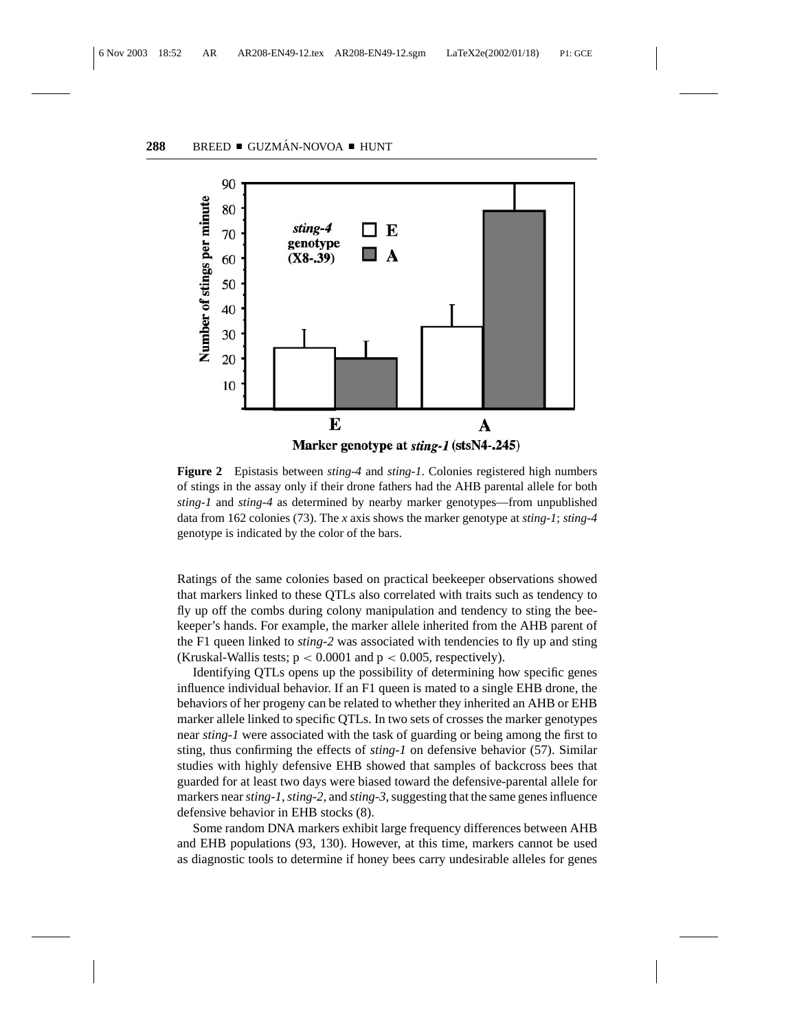

**Figure 2** Epistasis between *sting-4* and *sting-1*. Colonies registered high numbers of stings in the assay only if their drone fathers had the AHB parental allele for both *sting-1* and *sting-4* as determined by nearby marker genotypes—from unpublished data from 162 colonies (73). The *x* axis shows the marker genotype at *sting-1*; *sting-4* genotype is indicated by the color of the bars.

Ratings of the same colonies based on practical beekeeper observations showed that markers linked to these QTLs also correlated with traits such as tendency to fly up off the combs during colony manipulation and tendency to sting the beekeeper's hands. For example, the marker allele inherited from the AHB parent of the F1 queen linked to *sting-2* was associated with tendencies to fly up and sting (Kruskal-Wallis tests;  $p < 0.0001$  and  $p < 0.005$ , respectively).

Identifying QTLs opens up the possibility of determining how specific genes influence individual behavior. If an F1 queen is mated to a single EHB drone, the behaviors of her progeny can be related to whether they inherited an AHB or EHB marker allele linked to specific QTLs. In two sets of crosses the marker genotypes near *sting-1* were associated with the task of guarding or being among the first to sting, thus confirming the effects of *sting-1* on defensive behavior (57). Similar studies with highly defensive EHB showed that samples of backcross bees that guarded for at least two days were biased toward the defensive-parental allele for markers near*sting-1*,*sting-2*, and *sting-3*, suggesting that the same genes influence defensive behavior in EHB stocks (8).

Some random DNA markers exhibit large frequency differences between AHB and EHB populations (93, 130). However, at this time, markers cannot be used as diagnostic tools to determine if honey bees carry undesirable alleles for genes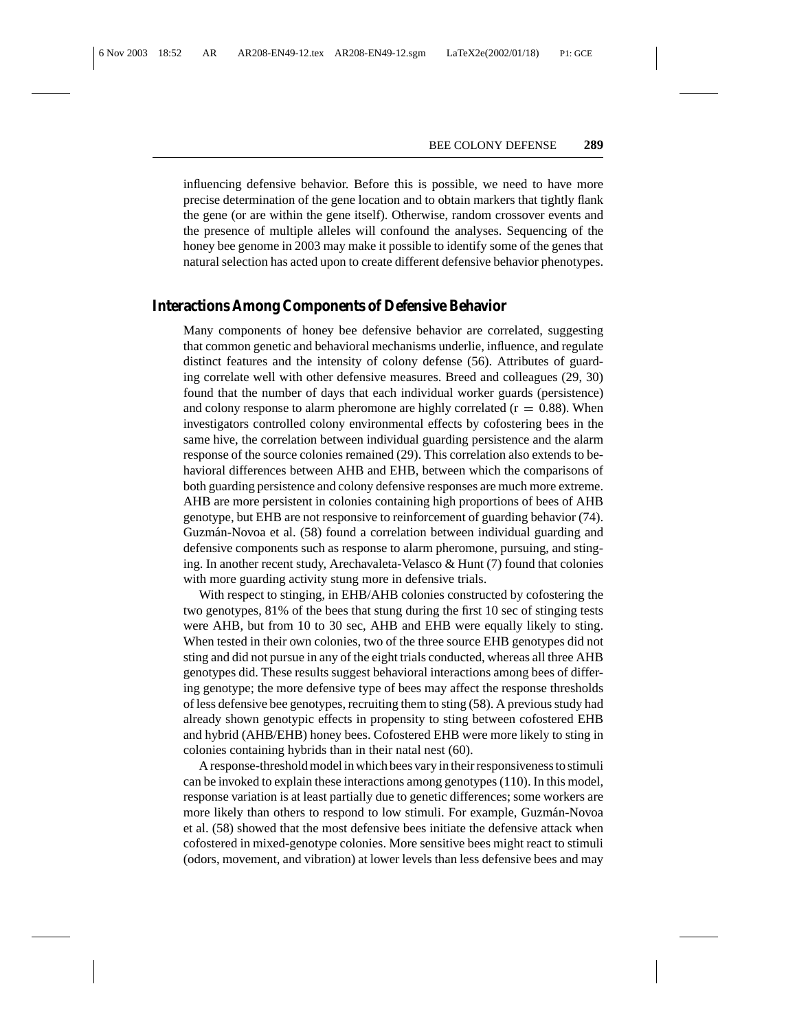influencing defensive behavior. Before this is possible, we need to have more precise determination of the gene location and to obtain markers that tightly flank the gene (or are within the gene itself). Otherwise, random crossover events and the presence of multiple alleles will confound the analyses. Sequencing of the honey bee genome in 2003 may make it possible to identify some of the genes that natural selection has acted upon to create different defensive behavior phenotypes.

#### **Interactions Among Components of Defensive Behavior**

Many components of honey bee defensive behavior are correlated, suggesting that common genetic and behavioral mechanisms underlie, influence, and regulate distinct features and the intensity of colony defense (56). Attributes of guarding correlate well with other defensive measures. Breed and colleagues (29, 30) found that the number of days that each individual worker guards (persistence) and colony response to alarm pheromone are highly correlated  $(r = 0.88)$ . When investigators controlled colony environmental effects by cofostering bees in the same hive, the correlation between individual guarding persistence and the alarm response of the source colonies remained (29). This correlation also extends to behavioral differences between AHB and EHB, between which the comparisons of both guarding persistence and colony defensive responses are much more extreme. AHB are more persistent in colonies containing high proportions of bees of AHB genotype, but EHB are not responsive to reinforcement of guarding behavior (74). Guzmán-Novoa et al. (58) found a correlation between individual guarding and defensive components such as response to alarm pheromone, pursuing, and stinging. In another recent study, Arechavaleta-Velasco & Hunt (7) found that colonies with more guarding activity stung more in defensive trials.

With respect to stinging, in EHB/AHB colonies constructed by cofostering the two genotypes, 81% of the bees that stung during the first 10 sec of stinging tests were AHB, but from 10 to 30 sec, AHB and EHB were equally likely to sting. When tested in their own colonies, two of the three source EHB genotypes did not sting and did not pursue in any of the eight trials conducted, whereas all three AHB genotypes did. These results suggest behavioral interactions among bees of differing genotype; the more defensive type of bees may affect the response thresholds of less defensive bee genotypes, recruiting them to sting (58). A previous study had already shown genotypic effects in propensity to sting between cofostered EHB and hybrid (AHB/EHB) honey bees. Cofostered EHB were more likely to sting in colonies containing hybrids than in their natal nest (60).

A response-threshold model in which bees vary in their responsiveness to stimuli can be invoked to explain these interactions among genotypes (110). In this model, response variation is at least partially due to genetic differences; some workers are more likely than others to respond to low stimuli. For example, Guzmán-Novoa et al. (58) showed that the most defensive bees initiate the defensive attack when cofostered in mixed-genotype colonies. More sensitive bees might react to stimuli (odors, movement, and vibration) at lower levels than less defensive bees and may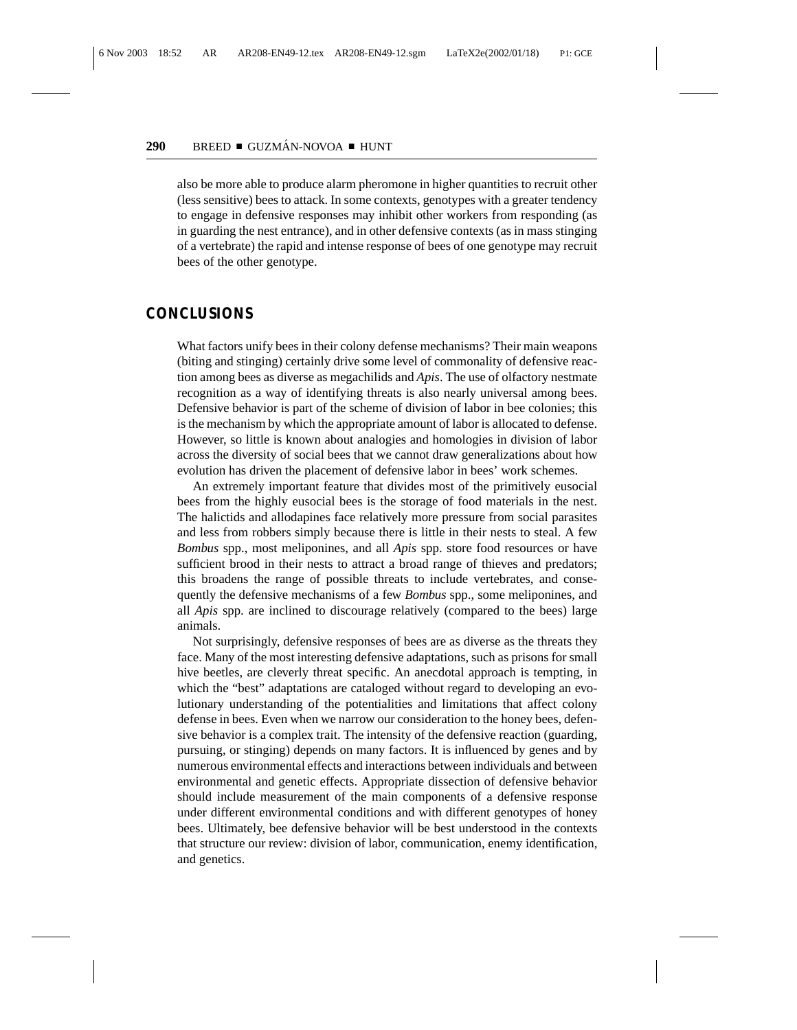also be more able to produce alarm pheromone in higher quantities to recruit other (less sensitive) bees to attack. In some contexts, genotypes with a greater tendency to engage in defensive responses may inhibit other workers from responding (as in guarding the nest entrance), and in other defensive contexts (as in mass stinging of a vertebrate) the rapid and intense response of bees of one genotype may recruit bees of the other genotype.

#### **CONCLUSIONS**

What factors unify bees in their colony defense mechanisms? Their main weapons (biting and stinging) certainly drive some level of commonality of defensive reaction among bees as diverse as megachilids and *Apis*. The use of olfactory nestmate recognition as a way of identifying threats is also nearly universal among bees. Defensive behavior is part of the scheme of division of labor in bee colonies; this is the mechanism by which the appropriate amount of labor is allocated to defense. However, so little is known about analogies and homologies in division of labor across the diversity of social bees that we cannot draw generalizations about how evolution has driven the placement of defensive labor in bees' work schemes.

An extremely important feature that divides most of the primitively eusocial bees from the highly eusocial bees is the storage of food materials in the nest. The halictids and allodapines face relatively more pressure from social parasites and less from robbers simply because there is little in their nests to steal. A few *Bombus* spp., most meliponines, and all *Apis* spp. store food resources or have sufficient brood in their nests to attract a broad range of thieves and predators; this broadens the range of possible threats to include vertebrates, and consequently the defensive mechanisms of a few *Bombus* spp., some meliponines, and all *Apis* spp. are inclined to discourage relatively (compared to the bees) large animals.

Not surprisingly, defensive responses of bees are as diverse as the threats they face. Many of the most interesting defensive adaptations, such as prisons for small hive beetles, are cleverly threat specific. An anecdotal approach is tempting, in which the "best" adaptations are cataloged without regard to developing an evolutionary understanding of the potentialities and limitations that affect colony defense in bees. Even when we narrow our consideration to the honey bees, defensive behavior is a complex trait. The intensity of the defensive reaction (guarding, pursuing, or stinging) depends on many factors. It is influenced by genes and by numerous environmental effects and interactions between individuals and between environmental and genetic effects. Appropriate dissection of defensive behavior should include measurement of the main components of a defensive response under different environmental conditions and with different genotypes of honey bees. Ultimately, bee defensive behavior will be best understood in the contexts that structure our review: division of labor, communication, enemy identification, and genetics.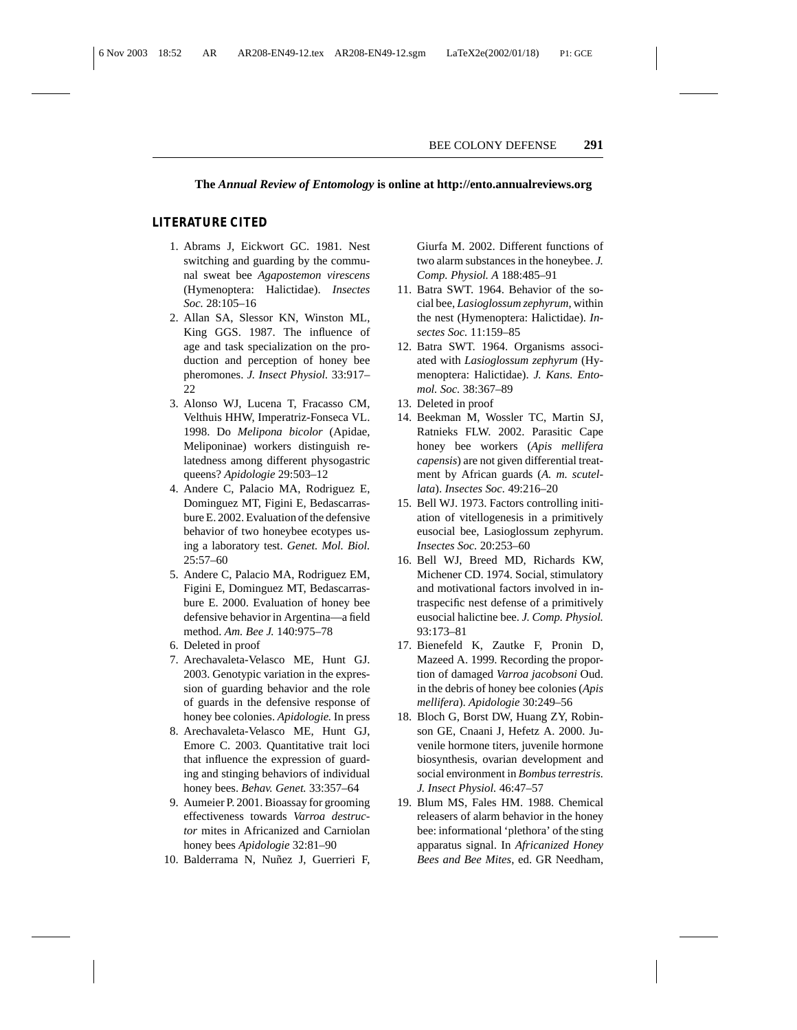#### **The** *Annual Review of Entomology* **is online at http://ento.annualreviews.org**

#### **LITERATURE CITED**

- 1. Abrams J, Eickwort GC. 1981. Nest switching and guarding by the communal sweat bee *Agapostemon virescens* (Hymenoptera: Halictidae). *Insectes Soc.* 28:105–16
- 2. Allan SA, Slessor KN, Winston ML, King GGS. 1987. The influence of age and task specialization on the production and perception of honey bee pheromones. *J. Insect Physiol.* 33:917– 22
- 3. Alonso WJ, Lucena T, Fracasso CM, Velthuis HHW, Imperatriz-Fonseca VL. 1998. Do *Melipona bicolor* (Apidae, Meliponinae) workers distinguish relatedness among different physogastric queens? *Apidologie* 29:503–12
- 4. Andere C, Palacio MA, Rodriguez E, Dominguez MT, Figini E, Bedascarrasbure E. 2002. Evaluation of the defensive behavior of two honeybee ecotypes using a laboratory test. *Genet. Mol. Biol.* 25:57–60
- 5. Andere C, Palacio MA, Rodriguez EM, Figini E, Dominguez MT, Bedascarrasbure E. 2000. Evaluation of honey bee defensive behavior in Argentina—a field method. *Am. Bee J.* 140:975–78
- 6. Deleted in proof
- 7. Arechavaleta-Velasco ME, Hunt GJ. 2003. Genotypic variation in the expression of guarding behavior and the role of guards in the defensive response of honey bee colonies. *Apidologie.* In press
- 8. Arechavaleta-Velasco ME, Hunt GJ, Emore C. 2003. Quantitative trait loci that influence the expression of guarding and stinging behaviors of individual honey bees. *Behav. Genet.* 33:357–64
- 9. Aumeier P. 2001. Bioassay for grooming effectiveness towards *Varroa destructor* mites in Africanized and Carniolan honey bees *Apidologie* 32:81–90
- 10. Balderrama N, Nuñez J, Guerrieri F,

Giurfa M. 2002. Different functions of two alarm substances in the honeybee. *J. Comp. Physiol. A* 188:485–91

- 11. Batra SWT. 1964. Behavior of the social bee, *Lasioglossum zephyrum*, within the nest (Hymenoptera: Halictidae). *Insectes Soc.* 11:159–85
- 12. Batra SWT. 1964. Organisms associated with *Lasioglossum zephyrum* (Hymenoptera: Halictidae). *J. Kans. Entomol. Soc.* 38:367–89
- 13. Deleted in proof
- 14. Beekman M, Wossler TC, Martin SJ, Ratnieks FLW. 2002. Parasitic Cape honey bee workers (*Apis mellifera capensis*) are not given differential treatment by African guards (*A. m. scutellata*). *Insectes Soc.* 49:216–20
- 15. Bell WJ. 1973. Factors controlling initiation of vitellogenesis in a primitively eusocial bee, Lasioglossum zephyrum. *Insectes Soc.* 20:253–60
- 16. Bell WJ, Breed MD, Richards KW, Michener CD. 1974. Social, stimulatory and motivational factors involved in intraspecific nest defense of a primitively eusocial halictine bee. *J. Comp. Physiol.* 93:173–81
- 17. Bienefeld K, Zautke F, Pronin D, Mazeed A. 1999. Recording the proportion of damaged *Varroa jacobsoni* Oud. in the debris of honey bee colonies (*Apis mellifera*). *Apidologie* 30:249–56
- 18. Bloch G, Borst DW, Huang ZY, Robinson GE, Cnaani J, Hefetz A. 2000. Juvenile hormone titers, juvenile hormone biosynthesis, ovarian development and social environment in *Bombus terrestris. J. Insect Physiol.* 46:47–57
- 19. Blum MS, Fales HM. 1988. Chemical releasers of alarm behavior in the honey bee: informational 'plethora' of the sting apparatus signal. In *Africanized Honey Bees and Bee Mites*, ed. GR Needham,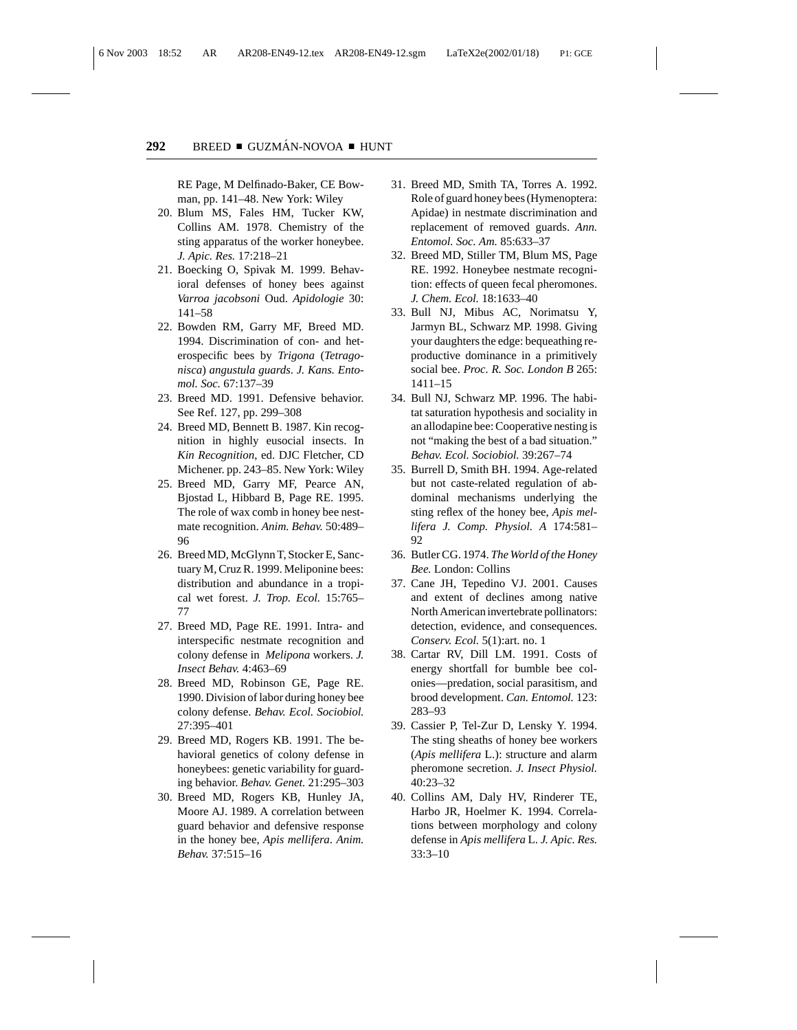RE Page, M Delfinado-Baker, CE Bowman, pp. 141–48. New York: Wiley

- 20. Blum MS, Fales HM, Tucker KW, Collins AM. 1978. Chemistry of the sting apparatus of the worker honeybee. *J. Apic. Res.* 17:218–21
- 21. Boecking O, Spivak M. 1999. Behavioral defenses of honey bees against *Varroa jacobsoni* Oud. *Apidologie* 30: 141–58
- 22. Bowden RM, Garry MF, Breed MD. 1994. Discrimination of con- and heterospecific bees by *Trigona* (*Tetragonisca*) *angustula guards*. *J. Kans. Entomol. Soc.* 67:137–39
- 23. Breed MD. 1991. Defensive behavior. See Ref. 127, pp. 299–308
- 24. Breed MD, Bennett B. 1987. Kin recognition in highly eusocial insects. In *Kin Recognition*, ed. DJC Fletcher, CD Michener. pp. 243–85. New York: Wiley
- 25. Breed MD, Garry MF, Pearce AN, Bjostad L, Hibbard B, Page RE. 1995. The role of wax comb in honey bee nestmate recognition. *Anim. Behav.* 50:489– 96
- 26. Breed MD, McGlynn T, Stocker E, Sanctuary M, Cruz R. 1999. Meliponine bees: distribution and abundance in a tropical wet forest. *J. Trop. Ecol.* 15:765– 77
- 27. Breed MD, Page RE. 1991. Intra- and interspecific nestmate recognition and colony defense in *Melipona* workers. *J. Insect Behav.* 4:463–69
- 28. Breed MD, Robinson GE, Page RE. 1990. Division of labor during honey bee colony defense. *Behav. Ecol. Sociobiol.* 27:395–401
- 29. Breed MD, Rogers KB. 1991. The behavioral genetics of colony defense in honeybees: genetic variability for guarding behavior. *Behav. Genet.* 21:295–303
- 30. Breed MD, Rogers KB, Hunley JA, Moore AJ. 1989. A correlation between guard behavior and defensive response in the honey bee, *Apis mellifera*. *Anim. Behav.* 37:515–16
- 31. Breed MD, Smith TA, Torres A. 1992. Role of guard honey bees (Hymenoptera: Apidae) in nestmate discrimination and replacement of removed guards. *Ann. Entomol. Soc. Am.* 85:633–37
- 32. Breed MD, Stiller TM, Blum MS, Page RE. 1992. Honeybee nestmate recognition: effects of queen fecal pheromones. *J. Chem. Ecol.* 18:1633–40
- 33. Bull NJ, Mibus AC, Norimatsu Y, Jarmyn BL, Schwarz MP. 1998. Giving your daughters the edge: bequeathing reproductive dominance in a primitively social bee. *Proc. R. Soc. London B* 265: 1411–15
- 34. Bull NJ, Schwarz MP. 1996. The habitat saturation hypothesis and sociality in an allodapine bee: Cooperative nesting is not "making the best of a bad situation." *Behav. Ecol. Sociobiol.* 39:267–74
- 35. Burrell D, Smith BH. 1994. Age-related but not caste-related regulation of abdominal mechanisms underlying the sting reflex of the honey bee, *Apis mellifera J. Comp. Physiol. A* 174:581– 92
- 36. Butler CG. 1974. *The World of the Honey Bee.* London: Collins
- 37. Cane JH, Tepedino VJ. 2001. Causes and extent of declines among native North American invertebrate pollinators: detection, evidence, and consequences. *Conserv. Ecol.* 5(1):art. no. 1
- 38. Cartar RV, Dill LM. 1991. Costs of energy shortfall for bumble bee colonies—predation, social parasitism, and brood development. *Can. Entomol.* 123: 283–93
- 39. Cassier P, Tel-Zur D, Lensky Y. 1994. The sting sheaths of honey bee workers (*Apis mellifera* L.): structure and alarm pheromone secretion. *J. Insect Physiol.* 40:23–32
- 40. Collins AM, Daly HV, Rinderer TE, Harbo JR, Hoelmer K. 1994. Correlations between morphology and colony defense in *Apis mellifera* L. *J. Apic. Res.* 33:3–10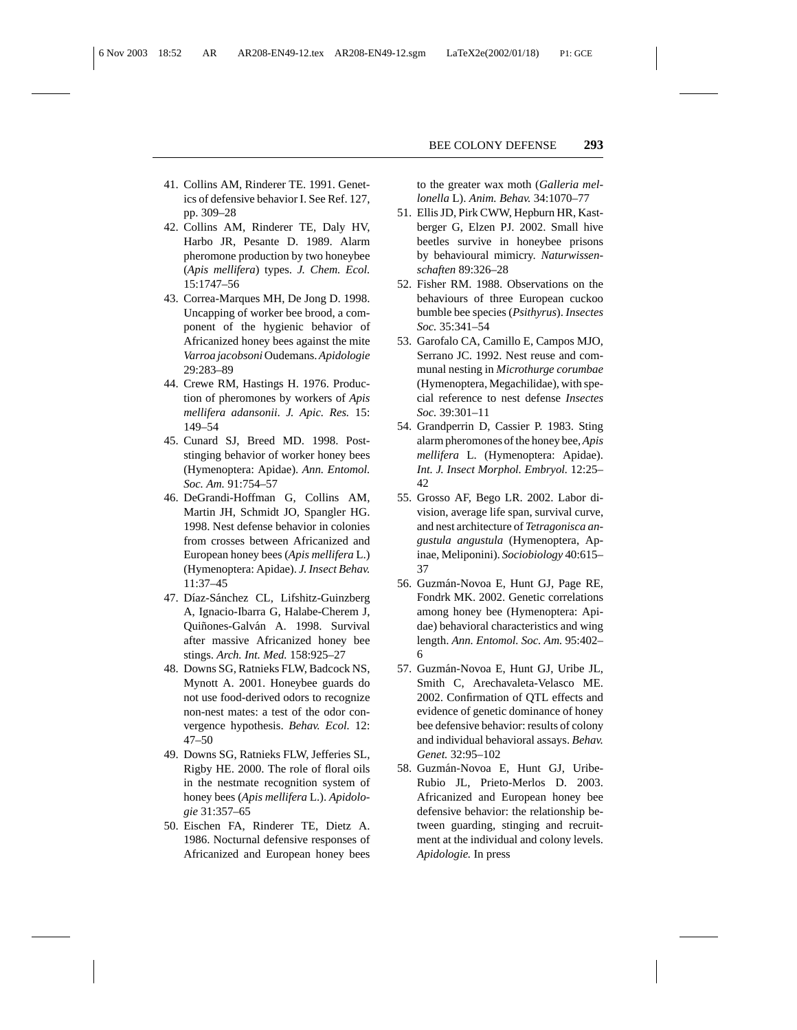- 41. Collins AM, Rinderer TE. 1991. Genetics of defensive behavior I. See Ref. 127, pp. 309–28
- 42. Collins AM, Rinderer TE, Daly HV, Harbo JR, Pesante D. 1989. Alarm pheromone production by two honeybee (*Apis mellifera*) types. *J. Chem. Ecol.* 15:1747–56
- 43. Correa-Marques MH, De Jong D. 1998. Uncapping of worker bee brood, a component of the hygienic behavior of Africanized honey bees against the mite *Varroa jacobsoni* Oudemans.*Apidologie* 29:283–89
- 44. Crewe RM, Hastings H. 1976. Production of pheromones by workers of *Apis mellifera adansonii*. *J. Apic. Res.* 15: 149–54
- 45. Cunard SJ, Breed MD. 1998. Poststinging behavior of worker honey bees (Hymenoptera: Apidae). *Ann. Entomol. Soc. Am.* 91:754–57
- 46. DeGrandi-Hoffman G, Collins AM, Martin JH, Schmidt JO, Spangler HG. 1998. Nest defense behavior in colonies from crosses between Africanized and European honey bees (*Apis mellifera* L.) (Hymenoptera: Apidae). *J. Insect Behav.* 11:37–45
- 47. Díaz-Sánchez CL, Lifshitz-Guinzberg A, Ignacio-Ibarra G, Halabe-Cherem J, Quiñones-Galván A. 1998. Survival after massive Africanized honey bee stings. *Arch. Int. Med.* 158:925–27
- 48. Downs SG, Ratnieks FLW, Badcock NS, Mynott A. 2001. Honeybee guards do not use food-derived odors to recognize non-nest mates: a test of the odor convergence hypothesis. *Behav. Ecol.* 12: 47–50
- 49. Downs SG, Ratnieks FLW, Jefferies SL, Rigby HE. 2000. The role of floral oils in the nestmate recognition system of honey bees (*Apis mellifera* L.). *Apidologie* 31:357–65
- 50. Eischen FA, Rinderer TE, Dietz A. 1986. Nocturnal defensive responses of Africanized and European honey bees

to the greater wax moth (*Galleria mellonella* L). *Anim. Behav.* 34:1070–77

- 51. Ellis JD, Pirk CWW, Hepburn HR, Kastberger G, Elzen PJ. 2002. Small hive beetles survive in honeybee prisons by behavioural mimicry. *Naturwissenschaften* 89:326–28
- 52. Fisher RM. 1988. Observations on the behaviours of three European cuckoo bumble bee species (*Psithyrus*). *Insectes Soc.* 35:341–54
- 53. Garofalo CA, Camillo E, Campos MJO, Serrano JC. 1992. Nest reuse and communal nesting in *Microthurge corumbae* (Hymenoptera, Megachilidae), with special reference to nest defense *Insectes Soc.* 39:301–11
- 54. Grandperrin D, Cassier P. 1983. Sting alarm pheromones of the honey bee,*Apis mellifera* L. (Hymenoptera: Apidae). *Int. J. Insect Morphol. Embryol.* 12:25– 42
- 55. Grosso AF, Bego LR. 2002. Labor division, average life span, survival curve, and nest architecture of *Tetragonisca angustula angustula* (Hymenoptera, Apinae, Meliponini). *Sociobiology* 40:615– 37
- 56. Guzmán-Novoa E, Hunt GJ, Page RE, Fondrk MK. 2002. Genetic correlations among honey bee (Hymenoptera: Apidae) behavioral characteristics and wing length. *Ann. Entomol. Soc. Am.* 95:402– 6
- 57. Guzmán-Novoa E, Hunt GJ, Uribe JL, Smith C, Arechavaleta-Velasco ME. 2002. Confirmation of QTL effects and evidence of genetic dominance of honey bee defensive behavior: results of colony and individual behavioral assays. *Behav. Genet.* 32:95–102
- 58. Guzmán-Novoa E, Hunt GJ, Uribe-Rubio JL, Prieto-Merlos D. 2003. Africanized and European honey bee defensive behavior: the relationship between guarding, stinging and recruitment at the individual and colony levels. *Apidologie.* In press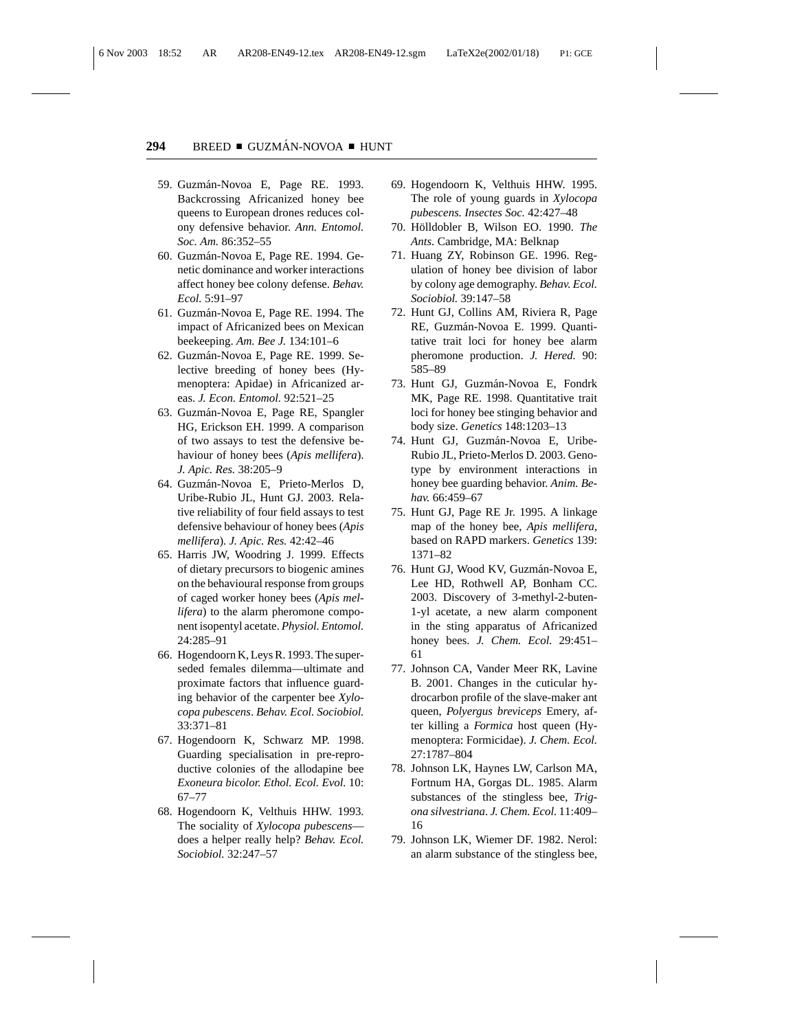- 59. Guzmán-Novoa E, Page RE. 1993. Backcrossing Africanized honey bee queens to European drones reduces colony defensive behavior. *Ann. Entomol. Soc. Am.* 86:352–55
- 60. Guzmán-Novoa E, Page RE. 1994. Genetic dominance and worker interactions affect honey bee colony defense. *Behav. Ecol.* 5:91–97
- 61. Guzmán-Novoa E, Page RE. 1994. The impact of Africanized bees on Mexican beekeeping. *Am. Bee J.* 134:101–6
- 62. Guzmán-Novoa E, Page RE. 1999. Selective breeding of honey bees (Hymenoptera: Apidae) in Africanized areas. *J. Econ. Entomol.* 92:521–25
- 63. Guzmán-Novoa E, Page RE, Spangler HG, Erickson EH. 1999. A comparison of two assays to test the defensive behaviour of honey bees (*Apis mellifera*). *J. Apic. Res.* 38:205–9
- 64. Guzm´an-Novoa E, Prieto-Merlos D, Uribe-Rubio JL, Hunt GJ. 2003. Relative reliability of four field assays to test defensive behaviour of honey bees (*Apis mellifera*). *J. Apic. Res.* 42:42–46
- 65. Harris JW, Woodring J. 1999. Effects of dietary precursors to biogenic amines on the behavioural response from groups of caged worker honey bees (*Apis mellifera*) to the alarm pheromone component isopentyl acetate. *Physiol. Entomol.* 24:285–91
- 66. Hogendoorn K, Leys R. 1993. The superseded females dilemma—ultimate and proximate factors that influence guarding behavior of the carpenter bee *Xylocopa pubescens*. *Behav. Ecol. Sociobiol.* 33:371–81
- 67. Hogendoorn K, Schwarz MP. 1998. Guarding specialisation in pre-reproductive colonies of the allodapine bee *Exoneura bicolor. Ethol. Ecol. Evol.* 10: 67–77
- 68. Hogendoorn K, Velthuis HHW. 1993. The sociality of *Xylocopa pubescens* does a helper really help? *Behav. Ecol. Sociobiol.* 32:247–57
- 69. Hogendoorn K, Velthuis HHW. 1995. The role of young guards in *Xylocopa pubescens. Insectes Soc.* 42:427–48
- 70. Hölldobler B, Wilson EO. 1990. The *Ants.* Cambridge, MA: Belknap
- 71. Huang ZY, Robinson GE. 1996. Regulation of honey bee division of labor by colony age demography. *Behav. Ecol. Sociobiol.* 39:147–58
- 72. Hunt GJ, Collins AM, Riviera R, Page RE, Guzmán-Novoa E. 1999. Quantitative trait loci for honey bee alarm pheromone production. *J. Hered.* 90: 585–89
- 73. Hunt GJ, Guzmán-Novoa E, Fondrk MK, Page RE. 1998. Quantitative trait loci for honey bee stinging behavior and body size. *Genetics* 148:1203–13
- 74. Hunt GJ, Guzmán-Novoa E, Uribe-Rubio JL, Prieto-Merlos D. 2003. Genotype by environment interactions in honey bee guarding behavior. *Anim. Behav.* 66:459–67
- 75. Hunt GJ, Page RE Jr. 1995. A linkage map of the honey bee, *Apis mellifera*, based on RAPD markers. *Genetics* 139: 1371–82
- 76. Hunt GJ, Wood KV, Guzmán-Novoa E, Lee HD, Rothwell AP, Bonham CC. 2003. Discovery of 3-methyl-2-buten-1-yl acetate, a new alarm component in the sting apparatus of Africanized honey bees. *J. Chem. Ecol.* 29:451– 61
- 77. Johnson CA, Vander Meer RK, Lavine B. 2001. Changes in the cuticular hydrocarbon profile of the slave-maker ant queen, *Polyergus breviceps* Emery, after killing a *Formica* host queen (Hymenoptera: Formicidae). *J. Chem. Ecol.* 27:1787–804
- 78. Johnson LK, Haynes LW, Carlson MA, Fortnum HA, Gorgas DL. 1985. Alarm substances of the stingless bee, *Trigona silvestriana*. *J. Chem. Ecol.* 11:409– 16
- 79. Johnson LK, Wiemer DF. 1982. Nerol: an alarm substance of the stingless bee,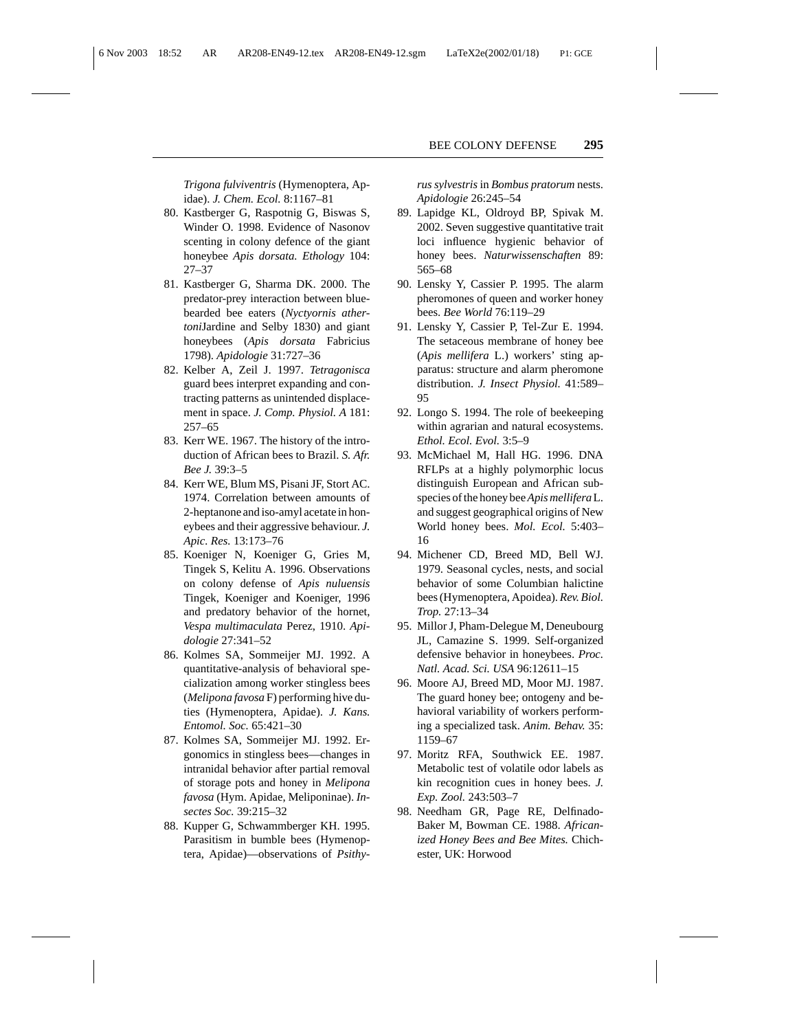*Trigona fulviventris* (Hymenoptera, Apidae). *J. Chem. Ecol.* 8:1167–81

- 80. Kastberger G, Raspotnig G, Biswas S, Winder O. 1998. Evidence of Nasonov scenting in colony defence of the giant honeybee *Apis dorsata. Ethology* 104: 27–37
- 81. Kastberger G, Sharma DK. 2000. The predator-prey interaction between bluebearded bee eaters (*Nyctyornis athertoni*Jardine and Selby 1830) and giant honeybees (*Apis dorsata* Fabricius 1798). *Apidologie* 31:727–36
- 82. Kelber A, Zeil J. 1997. *Tetragonisca* guard bees interpret expanding and contracting patterns as unintended displacement in space. *J. Comp. Physiol. A* 181: 257–65
- 83. Kerr WE. 1967. The history of the introduction of African bees to Brazil. *S. Afr. Bee J.* 39:3–5
- 84. Kerr WE, Blum MS, Pisani JF, Stort AC. 1974. Correlation between amounts of 2-heptanone and iso-amyl acetate in honeybees and their aggressive behaviour. *J. Apic. Res.* 13:173–76
- 85. Koeniger N, Koeniger G, Gries M, Tingek S, Kelitu A. 1996. Observations on colony defense of *Apis nuluensis* Tingek, Koeniger and Koeniger, 1996 and predatory behavior of the hornet, *Vespa multimaculata* Perez, 1910. *Apidologie* 27:341–52
- 86. Kolmes SA, Sommeijer MJ. 1992. A quantitative-analysis of behavioral specialization among worker stingless bees (*Melipona favosa* F) performing hive duties (Hymenoptera, Apidae). *J. Kans. Entomol. Soc.* 65:421–30
- 87. Kolmes SA, Sommeijer MJ. 1992. Ergonomics in stingless bees—changes in intranidal behavior after partial removal of storage pots and honey in *Melipona favosa* (Hym. Apidae, Meliponinae). *Insectes Soc.* 39:215–32
- 88. Kupper G, Schwammberger KH. 1995. Parasitism in bumble bees (Hymenoptera, Apidae)—observations of *Psithy-*

*rus sylvestris* in *Bombus pratorum* nests. *Apidologie* 26:245–54

- 89. Lapidge KL, Oldroyd BP, Spivak M. 2002. Seven suggestive quantitative trait loci influence hygienic behavior of honey bees. *Naturwissenschaften* 89: 565–68
- 90. Lensky Y, Cassier P. 1995. The alarm pheromones of queen and worker honey bees. *Bee World* 76:119–29
- 91. Lensky Y, Cassier P, Tel-Zur E. 1994. The setaceous membrane of honey bee (*Apis mellifera* L.) workers' sting apparatus: structure and alarm pheromone distribution. *J. Insect Physiol.* 41:589– 95
- 92. Longo S. 1994. The role of beekeeping within agrarian and natural ecosystems. *Ethol. Ecol. Evol.* 3:5–9
- 93. McMichael M, Hall HG. 1996. DNA RFLPs at a highly polymorphic locus distinguish European and African subspecies of the honey bee*Apis mellifera*L. and suggest geographical origins of New World honey bees. *Mol. Ecol.* 5:403– 16
- 94. Michener CD, Breed MD, Bell WJ. 1979. Seasonal cycles, nests, and social behavior of some Columbian halictine bees (Hymenoptera, Apoidea). *Rev. Biol. Trop.* 27:13–34
- 95. Millor J, Pham-Delegue M, Deneubourg JL, Camazine S. 1999. Self-organized defensive behavior in honeybees. *Proc. Natl. Acad. Sci. USA* 96:12611–15
- 96. Moore AJ, Breed MD, Moor MJ. 1987. The guard honey bee; ontogeny and behavioral variability of workers performing a specialized task. *Anim. Behav.* 35: 1159–67
- 97. Moritz RFA, Southwick EE. 1987. Metabolic test of volatile odor labels as kin recognition cues in honey bees. *J. Exp. Zool.* 243:503–7
- 98. Needham GR, Page RE, Delfinado-Baker M, Bowman CE. 1988. *Africanized Honey Bees and Bee Mites.* Chichester, UK: Horwood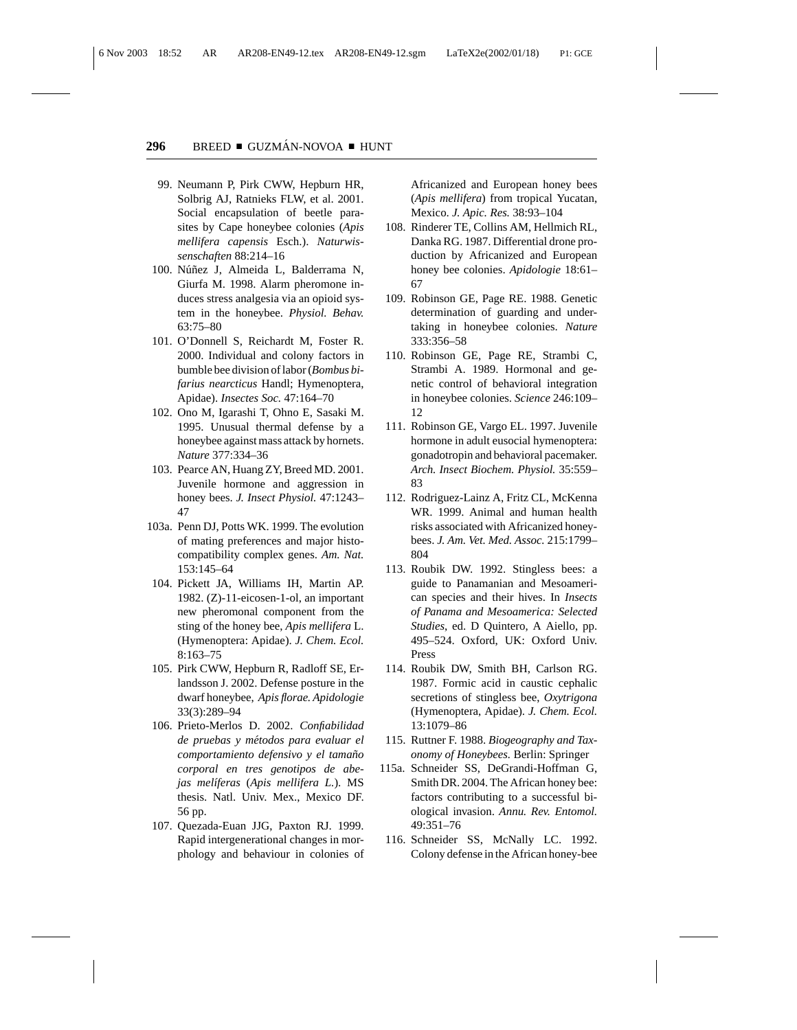- 99. Neumann P, Pirk CWW, Hepburn HR, Solbrig AJ, Ratnieks FLW, et al. 2001. Social encapsulation of beetle parasites by Cape honeybee colonies (*Apis mellifera capensis* Esch.). *Naturwissenschaften* 88:214–16
- 100. Núñez J, Almeida L, Balderrama N, Giurfa M. 1998. Alarm pheromone induces stress analgesia via an opioid system in the honeybee. *Physiol. Behav.* 63:75–80
- 101. O'Donnell S, Reichardt M, Foster R. 2000. Individual and colony factors in bumble bee division of labor (*Bombus bifarius nearcticus* Handl; Hymenoptera, Apidae). *Insectes Soc.* 47:164–70
- 102. Ono M, Igarashi T, Ohno E, Sasaki M. 1995. Unusual thermal defense by a honeybee against mass attack by hornets. *Nature* 377:334–36
- 103. Pearce AN, Huang ZY, Breed MD. 2001. Juvenile hormone and aggression in honey bees. *J. Insect Physiol.* 47:1243– 47
- 103a. Penn DJ, Potts WK. 1999. The evolution of mating preferences and major histocompatibility complex genes. *Am. Nat.* 153:145–64
- 104. Pickett JA, Williams IH, Martin AP. 1982. (Z)-11-eicosen-1-ol, an important new pheromonal component from the sting of the honey bee, *Apis mellifera* L. (Hymenoptera: Apidae). *J. Chem. Ecol.* 8:163–75
- 105. Pirk CWW, Hepburn R, Radloff SE, Erlandsson J. 2002. Defense posture in the dwarf honeybee, *Apis florae. Apidologie* 33(3):289–94
- 106. Prieto-Merlos D. 2002. *Confiabilidad de pruebas y metodos para evaluar el ´ comportamiento defensivo y el tamano˜ corporal en tres genotipos de abejas mel´ıferas* (*Apis mellifera L.*). MS thesis. Natl. Univ. Mex., Mexico DF. 56 pp.
- 107. Quezada-Euan JJG, Paxton RJ. 1999. Rapid intergenerational changes in morphology and behaviour in colonies of

Africanized and European honey bees (*Apis mellifera*) from tropical Yucatan, Mexico. *J. Apic. Res.* 38:93–104

- 108. Rinderer TE, Collins AM, Hellmich RL, Danka RG. 1987. Differential drone production by Africanized and European honey bee colonies. *Apidologie* 18:61– 67
- 109. Robinson GE, Page RE. 1988. Genetic determination of guarding and undertaking in honeybee colonies. *Nature* 333:356–58
- 110. Robinson GE, Page RE, Strambi C, Strambi A. 1989. Hormonal and genetic control of behavioral integration in honeybee colonies. *Science* 246:109– 12
- 111. Robinson GE, Vargo EL. 1997. Juvenile hormone in adult eusocial hymenoptera: gonadotropin and behavioral pacemaker. *Arch. Insect Biochem. Physiol.* 35:559– 83
- 112. Rodriguez-Lainz A, Fritz CL, McKenna WR. 1999. Animal and human health risks associated with Africanized honeybees. *J. Am. Vet. Med. Assoc.* 215:1799– 804
- 113. Roubik DW. 1992. Stingless bees: a guide to Panamanian and Mesoamerican species and their hives. In *Insects of Panama and Mesoamerica: Selected Studies*, ed. D Quintero, A Aiello, pp. 495–524. Oxford, UK: Oxford Univ. Press
- 114. Roubik DW, Smith BH, Carlson RG. 1987. Formic acid in caustic cephalic secretions of stingless bee, *Oxytrigona* (Hymenoptera, Apidae). *J. Chem. Ecol.* 13:1079–86
- 115. Ruttner F. 1988. *Biogeography and Taxonomy of Honeybees.* Berlin: Springer
- 115a. Schneider SS, DeGrandi-Hoffman G, Smith DR. 2004. The African honey bee: factors contributing to a successful biological invasion. *Annu. Rev. Entomol.* 49:351–76
	- 116. Schneider SS, McNally LC. 1992. Colony defense in the African honey-bee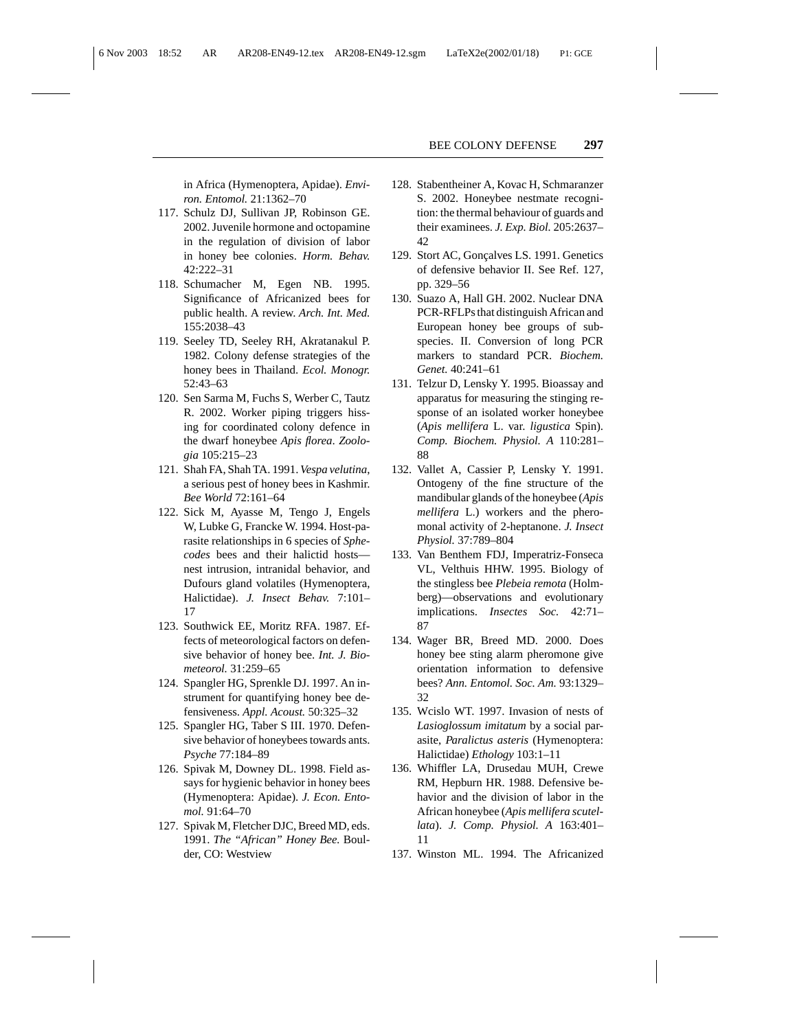in Africa (Hymenoptera, Apidae). *Environ. Entomol.* 21:1362–70

- 117. Schulz DJ, Sullivan JP, Robinson GE. 2002. Juvenile hormone and octopamine in the regulation of division of labor in honey bee colonies. *Horm. Behav.* 42:222–31
- 118. Schumacher M, Egen NB. 1995. Significance of Africanized bees for public health. A review. *Arch. Int. Med.* 155:2038–43
- 119. Seeley TD, Seeley RH, Akratanakul P. 1982. Colony defense strategies of the honey bees in Thailand. *Ecol. Monogr.* 52:43–63
- 120. Sen Sarma M, Fuchs S, Werber C, Tautz R. 2002. Worker piping triggers hissing for coordinated colony defence in the dwarf honeybee *Apis florea*. *Zoologia* 105:215–23
- 121. Shah FA, Shah TA. 1991. *Vespa velutina*, a serious pest of honey bees in Kashmir. *Bee World* 72:161–64
- 122. Sick M, Ayasse M, Tengo J, Engels W, Lubke G, Francke W. 1994. Host-parasite relationships in 6 species of *Sphecodes* bees and their halictid hosts nest intrusion, intranidal behavior, and Dufours gland volatiles (Hymenoptera, Halictidae). *J. Insect Behav.* 7:101– 17
- 123. Southwick EE, Moritz RFA. 1987. Effects of meteorological factors on defensive behavior of honey bee. *Int. J. Biometeorol.* 31:259–65
- 124. Spangler HG, Sprenkle DJ. 1997. An instrument for quantifying honey bee defensiveness. *Appl. Acoust.* 50:325–32
- 125. Spangler HG, Taber S III. 1970. Defensive behavior of honeybees towards ants. *Psyche* 77:184–89
- 126. Spivak M, Downey DL. 1998. Field assays for hygienic behavior in honey bees (Hymenoptera: Apidae). *J. Econ. Entomol.* 91:64–70
- 127. Spivak M, Fletcher DJC, Breed MD, eds. 1991. *The "African" Honey Bee.* Boulder, CO: Westview
- 128. Stabentheiner A, Kovac H, Schmaranzer S. 2002. Honeybee nestmate recognition: the thermal behaviour of guards and their examinees. *J. Exp. Biol.* 205:2637– 42
- 129. Stort AC, Gonçalves LS. 1991. Genetics of defensive behavior II. See Ref. 127, pp. 329–56
- 130. Suazo A, Hall GH. 2002. Nuclear DNA PCR-RFLPs that distinguish African and European honey bee groups of subspecies. II. Conversion of long PCR markers to standard PCR. *Biochem. Genet.* 40:241–61
- 131. Telzur D, Lensky Y. 1995. Bioassay and apparatus for measuring the stinging response of an isolated worker honeybee (*Apis mellifera* L. var. *ligustica* Spin). *Comp. Biochem. Physiol. A* 110:281– 88
- 132. Vallet A, Cassier P, Lensky Y. 1991. Ontogeny of the fine structure of the mandibular glands of the honeybee (*Apis mellifera* L.) workers and the pheromonal activity of 2-heptanone. *J. Insect Physiol.* 37:789–804
- 133. Van Benthem FDJ, Imperatriz-Fonseca VL, Velthuis HHW. 1995. Biology of the stingless bee *Plebeia remota* (Holmberg)—observations and evolutionary implications. *Insectes Soc.* 42:71– 87
- 134. Wager BR, Breed MD. 2000. Does honey bee sting alarm pheromone give orientation information to defensive bees? *Ann. Entomol. Soc. Am.* 93:1329– 32
- 135. Wcislo WT. 1997. Invasion of nests of *Lasioglossum imitatum* by a social parasite, *Paralictus asteris* (Hymenoptera: Halictidae) *Ethology* 103:1–11
- 136. Whiffler LA, Drusedau MUH, Crewe RM, Hepburn HR. 1988. Defensive behavior and the division of labor in the African honeybee (*Apis mellifera scutellata*). *J. Comp. Physiol. A* 163:401– 11
- 137. Winston ML. 1994. The Africanized